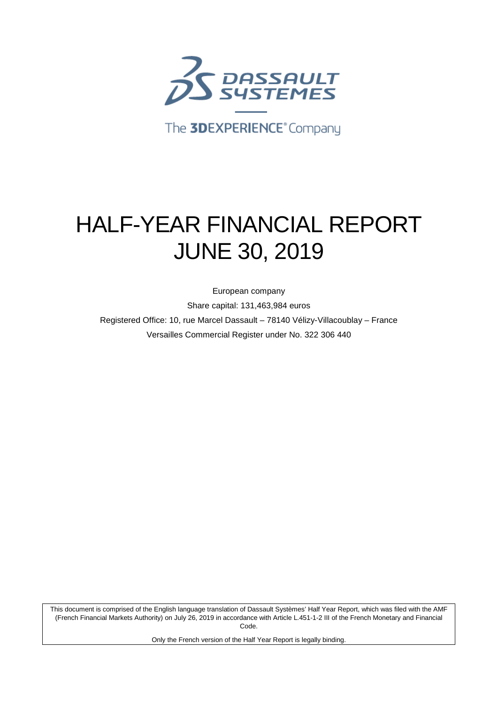

The **3DEXPERIENCE**® Company

# HALF-YEAR FINANCIAL REPORT JUNE 30, 2019

European company Share capital: 131,463,984 euros Registered Office: 10, rue Marcel Dassault – 78140 Vélizy-Villacoublay – France Versailles Commercial Register under No. 322 306 440

This document is comprised of the English language translation of Dassault Systèmes' Half Year Report, which was filed with the AMF (French Financial Markets Authority) on July 26, 2019 in accordance with Article L.451-1-2 III of the French Monetary and Financial Code.

Only the French version of the Half Year Report is legally binding.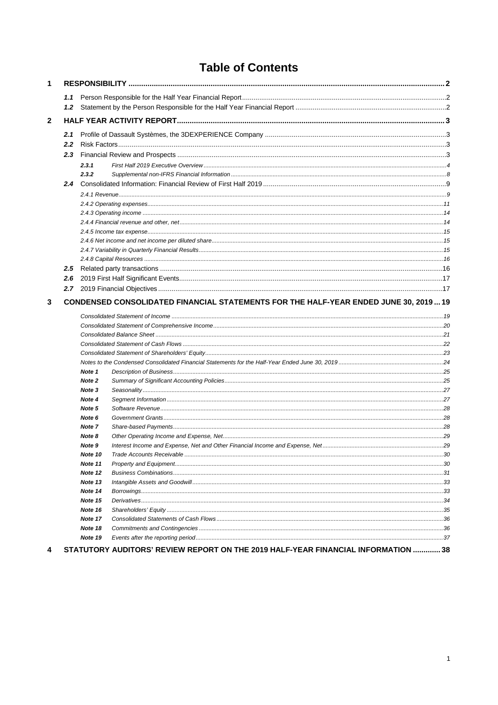### **Table of Contents**

| $\mathbf{1}$ |               |         |                                                                                       |  |
|--------------|---------------|---------|---------------------------------------------------------------------------------------|--|
|              | 1.1           |         |                                                                                       |  |
|              | $1.2^{\circ}$ |         |                                                                                       |  |
|              |               |         |                                                                                       |  |
| $\mathbf{2}$ |               |         |                                                                                       |  |
|              | 2.1           |         |                                                                                       |  |
|              | 2.2           |         |                                                                                       |  |
|              | 2.3           |         |                                                                                       |  |
|              |               | 2.3.1   |                                                                                       |  |
|              |               | 2.3.2   |                                                                                       |  |
|              | $2.4^{\circ}$ |         |                                                                                       |  |
|              |               |         |                                                                                       |  |
|              |               |         |                                                                                       |  |
|              |               |         |                                                                                       |  |
|              |               |         |                                                                                       |  |
|              |               |         |                                                                                       |  |
|              |               |         |                                                                                       |  |
|              |               |         |                                                                                       |  |
|              |               |         |                                                                                       |  |
|              | $2.5^{\circ}$ |         |                                                                                       |  |
|              | $2.6^{\circ}$ |         |                                                                                       |  |
|              |               |         |                                                                                       |  |
|              |               |         |                                                                                       |  |
| 3            |               |         | CONDENSED CONSOLIDATED FINANCIAL STATEMENTS FOR THE HALF-YEAR ENDED JUNE 30, 2019  19 |  |
|              |               |         |                                                                                       |  |
|              |               |         |                                                                                       |  |
|              |               |         |                                                                                       |  |
|              |               |         |                                                                                       |  |
|              |               |         |                                                                                       |  |
|              |               |         |                                                                                       |  |
|              |               | Note 1  |                                                                                       |  |
|              |               | Note 2  |                                                                                       |  |
|              |               | Note 3  |                                                                                       |  |
|              |               | Note 4  |                                                                                       |  |
|              |               | Note 5  |                                                                                       |  |
|              |               | Note 6  |                                                                                       |  |
|              |               | Note 7  |                                                                                       |  |
|              |               | Note 8  |                                                                                       |  |
|              |               | Note 9  |                                                                                       |  |
|              |               | Note 10 |                                                                                       |  |
|              |               | Note 11 |                                                                                       |  |
|              |               | Note 12 |                                                                                       |  |
|              |               | Note 13 |                                                                                       |  |
|              |               | Note 14 |                                                                                       |  |
|              |               | Note 15 |                                                                                       |  |
|              |               | Note 16 |                                                                                       |  |
|              |               | Note 17 |                                                                                       |  |
|              |               | Note 18 |                                                                                       |  |
|              |               | Note 19 |                                                                                       |  |
|              |               |         | STATUTORY AUDITORS' REVIEW REPORT ON THE 2019 HALF-YEAR FINANCIAL INFORMATION  38     |  |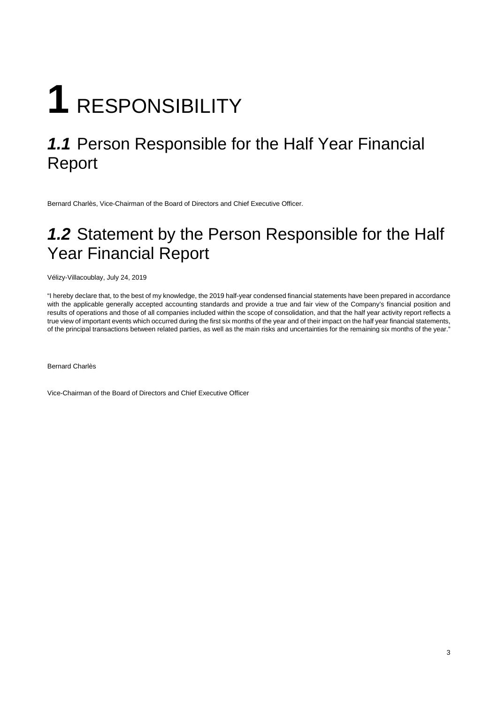# <span id="page-2-0"></span>**1** RESPONSIBILITY

### <span id="page-2-1"></span>*1.1* Person Responsible for the Half Year Financial Report

Bernard Charlès, Vice-Chairman of the Board of Directors and Chief Executive Officer.

### <span id="page-2-2"></span>*1.2* Statement by the Person Responsible for the Half Year Financial Report

Vélizy-Villacoublay, July 24, 2019

"I hereby declare that, to the best of my knowledge, the 2019 half-year condensed financial statements have been prepared in accordance with the applicable generally accepted accounting standards and provide a true and fair view of the Company's financial position and results of operations and those of all companies included within the scope of consolidation, and that the half year activity report reflects a true view of important events which occurred during the first six months of the year and of their impact on the half year financial statements, of the principal transactions between related parties, as well as the main risks and uncertainties for the remaining six months of the year."

Bernard Charlès

Vice-Chairman of the Board of Directors and Chief Executive Officer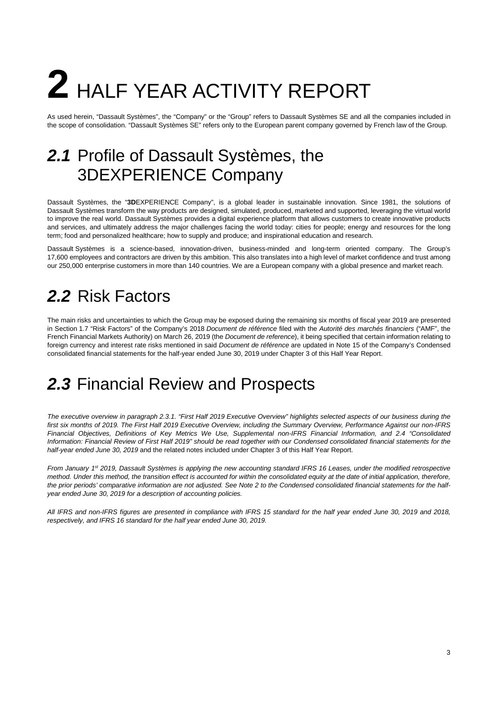# <span id="page-3-0"></span>**2** HALF YEAR ACTIVITY REPORT

As used herein, "Dassault Systèmes", the "Company" or the "Group" refers to Dassault Systèmes SE and all the companies included in the scope of consolidation. "Dassault Systèmes SE" refers only to the European parent company governed by French law of the Group.

### <span id="page-3-1"></span>*2.1* Profile of Dassault Systèmes, the 3DEXPERIENCE Company

Dassault Systèmes, the "**3D**EXPERIENCE Company", is a global leader in sustainable innovation. Since 1981, the solutions of Dassault Systèmes transform the way products are designed, simulated, produced, marketed and supported, leveraging the virtual world to improve the real world. Dassault Systèmes provides a digital experience platform that allows customers to create innovative products and services, and ultimately address the major challenges facing the world today: cities for people; energy and resources for the long term; food and personalized healthcare; how to supply and produce; and inspirational education and research.

Dassault Systèmes is a science-based, innovation-driven, business-minded and long-term oriented company. The Group's 17,600 employees and contractors are driven by this ambition. This also translates into a high level of market confidence and trust among our 250,000 enterprise customers in more than 140 countries. We are a European company with a global presence and market reach.

### <span id="page-3-2"></span>*2.2* Risk Factors

The main risks and uncertainties to which the Group may be exposed during the remaining six months of fiscal year 2019 are presented in Section 1.7 "Risk Factors" of the Company's 2018 *Document de référence* filed with the *Autorité des marchés financiers* ("AMF", the French Financial Markets Authority) on March 26, 2019 (the *Document de reference*), it being specified that certain information relating to foreign currency and interest rate risks mentioned in said *Document de référence* are updated in Note 15 of the Company's Condensed consolidated financial statements for the half-year ended June 30, 2019 under Chapter 3 of this Half Year Report.

### <span id="page-3-3"></span>*2.3* Financial Review and Prospects

*The executive overview in paragraph 2.3.1. "First Half 2019 Executive Overview" highlights selected aspects of our business during the first six months of 2019. The First Half 2019 Executive Overview, including the Summary Overview, Performance Against our non-IFRS Financial Objectives, Definitions of Key Metrics We Use, Supplemental non-IFRS Financial Information, and 2.4 "Consolidated Information: Financial Review of First Half 2019" should be read together with our Condensed consolidated financial statements for the half-year ended June 30, 2019* and the related notes included under Chapter 3 of this Half Year Report.

*From January 1st 2019, Dassault Systèmes is applying the new accounting standard IFRS 16 Leases, under the modified retrospective method. Under this method, the transition effect is accounted for within the consolidated equity at the date of initial application, therefore, the prior periods' comparative information are not adjusted. See Note 2 to the Condensed consolidated financial statements for the halfyear ended June 30, 2019 for a description of accounting policies.*

*All IFRS and non-IFRS figures are presented in compliance with IFRS 15 standard for the half year ended June 30, 2019 and 2018, respectively, and IFRS 16 standard for the half year ended June 30, 2019.*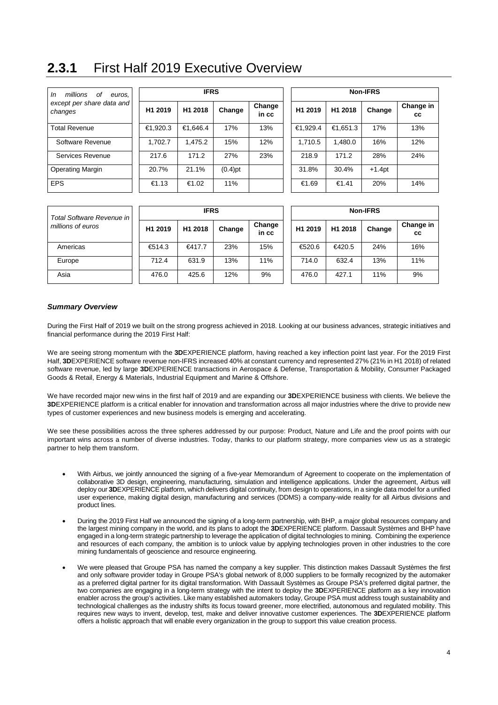### <span id="page-4-0"></span>**2.3.1** First Half 2019 Executive Overview

| In<br>millions<br>Οf<br>euros.       | <b>IFRS</b> |          |            |                 | <b>Non-IFRS</b> |          |          |                        |
|--------------------------------------|-------------|----------|------------|-----------------|-----------------|----------|----------|------------------------|
| except per share data and<br>changes | H1 2019     | H1 2018  | Change     | Change<br>in cc | H1 2019         | H1 2018  | Change   | Change in<br><b>CC</b> |
| <b>Total Revenue</b>                 | €1,920.3    | €1,646.4 | 17%        | 13%             | €1,929.4        | €1,651.3 | 17%      | 13%                    |
| Software Revenue                     | 1,702.7     | 1.475.2  | 15%        | 12%             | 1,710.5         | 1.480.0  | 16%      | 12%                    |
| Services Revenue                     | 217.6       | 171.2    | 27%        | 23%             | 218.9           | 171.2    | 28%      | 24%                    |
| <b>Operating Margin</b>              | 20.7%       | 21.1%    | $(0.4)$ pt |                 | 31.8%           | 30.4%    | $+1.4pt$ |                        |
| <b>EPS</b>                           | €1.13       | €1.02    | 11%        |                 | €1.69           | €1.41    | 20%      | 14%                    |

| Total Software Revenue in |                     | <b>IFRS</b> |        |                 | <b>Non-IFRS</b> |         |        |                 |
|---------------------------|---------------------|-------------|--------|-----------------|-----------------|---------|--------|-----------------|
| millions of euros         | H <sub>1</sub> 2019 | H1 2018     | Change | Change<br>in cc | H1 2019         | H1 2018 | Change | Change in<br>СC |
| Americas                  | €514.3              | €417.7      | 23%    | 15%             | €520.6          | €420.5  | 24%    | 16%             |
| Europe                    | 712.4               | 631.9       | 13%    | 11%             | 714.0           | 632.4   | 13%    | 11%             |
| Asia                      | 476.0               | 425.6       | 12%    | 9%              | 476.0           | 427.1   | 11%    | 9%              |

#### *Summary Overview*

During the First Half of 2019 we built on the strong progress achieved in 2018. Looking at our business advances, strategic initiatives and financial performance during the 2019 First Half:

We are seeing strong momentum with the **3D**EXPERIENCE platform, having reached a key inflection point last year. For the 2019 First Half, **3D**EXPERIENCE software revenue non-IFRS increased 40% at constant currency and represented 27% (21% in H1 2018) of related software revenue, led by large **3D**EXPERIENCE transactions in Aerospace & Defense, Transportation & Mobility, Consumer Packaged Goods & Retail, Energy & Materials, Industrial Equipment and Marine & Offshore.

We have recorded major new wins in the first half of 2019 and are expanding our **3D**EXPERIENCE business with clients. We believe the **3D**EXPERIENCE platform is a critical enabler for innovation and transformation across all major industries where the drive to provide new types of customer experiences and new business models is emerging and accelerating.

We see these possibilities across the three spheres addressed by our purpose: Product, Nature and Life and the proof points with our important wins across a number of diverse industries. Today, thanks to our platform strategy, more companies view us as a strategic partner to help them transform.

- With Airbus, we jointly announced the signing of a five-year Memorandum of Agreement to cooperate on the implementation of collaborative 3D design, engineering, manufacturing, simulation and intelligence applications. Under the agreement, Airbus will deploy our **3D**EXPERIENCE platform, which delivers digital continuity, from design to operations, in a single data model for a unified user experience, making digital design, manufacturing and services (DDMS) a company-wide reality for all Airbus divisions and product lines*.*
- During the 2019 First Half we announced the signing of a long-term partnership, with BHP, a major global resources company and the largest mining company in the world, and its plans to adopt the **3D**EXPERIENCE platform. Dassault Systèmes and BHP have engaged in a long-term strategic partnership to leverage the application of digital technologies to mining. Combining the experience and resources of each company, the ambition is to unlock value by applying technologies proven in other industries to the core mining fundamentals of geoscience and resource engineering*.*
- We were pleased that Groupe PSA has named the company a key supplier. This distinction makes Dassault Systèmes the first and only software provider today in Groupe PSA's global network of 8,000 suppliers to be formally recognized by the automaker as a preferred digital partner for its digital transformation. With Dassault Systèmes as Groupe PSA's preferred digital partner, the two companies are engaging in a long-term strategy with the intent to deploy the **3D**EXPERIENCE platform as a key innovation enabler across the group's activities. Like many established automakers today, Groupe PSA must address tough sustainability and technological challenges as the industry shifts its focus toward greener, more electrified, autonomous and regulated mobility. This requires new ways to invent, develop, test, make and deliver innovative customer experiences. The **3D**EXPERIENCE platform offers a holistic approach that will enable every organization in the group to support this value creation process.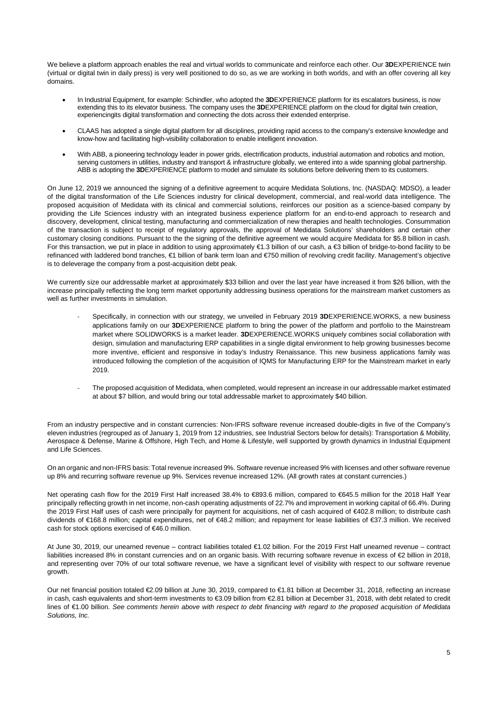We believe a platform approach enables the real and virtual worlds to communicate and reinforce each other. Our **3D**EXPERIENCE twin (virtual or digital twin in daily press) is very well positioned to do so, as we are working in both worlds, and with an offer covering all key domains.

- In Industrial Equipment, for example: Schindler, who adopted the **3D**EXPERIENCE platform for its escalators business, is now extending this to its elevator business. The company uses the **3D**EXPERIENCE platform on the cloud for digital twin creation, experiencingits digital transformation and connecting the dots across their extended enterprise.
- CLAAS has adopted a single digital platform for all disciplines, providing rapid access to the company's extensive knowledge and know-how and facilitating high-visibility collaboration to enable intelligent innovation.
- With ABB, a pioneering technology leader in power grids, electrification products, industrial automation and robotics and motion, serving customers in utilities, industry and transport & infrastructure globally, we entered into a wide spanning global partnership. ABB is adopting the **3D**EXPERIENCE platform to model and simulate its solutions before delivering them to its customers.

On June 12, 2019 we announced the signing of a definitive agreement to acquire Medidata Solutions, Inc. (NASDAQ: MDSO), a leader of the digital transformation of the Life Sciences industry for clinical development, commercial, and real-world data intelligence. The proposed acquisition of Medidata with its clinical and commercial solutions, reinforces our position as a science-based company by providing the Life Sciences industry with an integrated business experience platform for an end-to-end approach to research and discovery, development, clinical testing, manufacturing and commercialization of new therapies and health technologies. Consummation of the transaction is subject to receipt of regulatory approvals, the approval of Medidata Solutions' shareholders and certain other customary closing conditions. Pursuant to the the signing of the definitive agreement we would acquire Medidata for \$5.8 billion in cash. For this transaction, we put in place in addition to using approximately €1.3 billion of our cash, a €3 billion of bridge-to-bond facility to be refinanced with laddered bond tranches, €1 billion of bank term loan and €750 million of revolving credit facility. Management's objective is to deleverage the company from a post-acquisition debt peak.

We currently size our addressable market at approximately \$33 billion and over the last year have increased it from \$26 billion, with the increase principally reflecting the long term market opportunity addressing business operations for the mainstream market customers as well as further investments in simulation.

- Specifically, in connection with our strategy, we unveiled in February 2019 **3D**EXPERIENCE.WORKS, a new business applications family on our **3D**EXPERIENCE platform to bring the power of the platform and portfolio to the Mainstream market where SOLIDWORKS is a market leader. **3D**EXPERIENCE.WORKS uniquely combines social collaboration with design, simulation and manufacturing ERP capabilities in a single digital environment to help growing businesses become more inventive, efficient and responsive in today's Industry Renaissance. This new business applications family was introduced following the completion of the acquisition of IQMS for Manufacturing ERP for the Mainstream market in early 2019.
- The proposed acquisition of Medidata, when completed, would represent an increase in our addressable market estimated at about \$7 billion, and would bring our total addressable market to approximately \$40 billion.

From an industry perspective and in constant currencies: Non-IFRS software revenue increased double-digits in five of the Company's eleven industries (regrouped as of January 1, 2019 from 12 industries, see Industrial Sectors below for details): Transportation & Mobility, Aerospace & Defense, Marine & Offshore, High Tech, and Home & Lifestyle, well supported by growth dynamics in Industrial Equipment and Life Sciences.

On an organic and non-IFRS basis: Total revenue increased 9%. Software revenue increased 9% with licenses and other software revenue up 8% and recurring software revenue up 9%. Services revenue increased 12%. (All growth rates at constant currencies.)

Net operating cash flow for the 2019 First Half increased 38.4% to €893.6 million, compared to €645.5 million for the 2018 Half Year principally reflecting growth in net income, non-cash operating adjustments of 22.7% and improvement in working capital of 66.4%. During the 2019 First Half uses of cash were principally for payment for acquisitions, net of cash acquired of €402.8 million; to distribute cash dividends of €168.8 million; capital expenditures, net of €48.2 million; and repayment for lease liabilities of €37.3 million. We received cash for stock options exercised of €46.0 million.

At June 30, 2019, our unearned revenue – contract liabilities totaled €1.02 billion. For the 2019 First Half unearned revenue – contract liabilities increased 8% in constant currencies and on an organic basis. With recurring software revenue in excess of €2 billion in 2018, and representing over 70% of our total software revenue, we have a significant level of visibility with respect to our software revenue growth.

Our net financial position totaled €2.09 billion at June 30, 2019, compared to €1.81 billion at December 31, 2018, reflecting an increase in cash, cash equivalents and short-term investments to €3.09 billion from €2.81 billion at December 31, 2018, with debt related to credit lines of €1.00 billion. *See comments herein above with respect to debt financing with regard to the proposed acquisition of Medidata Solutions, Inc.*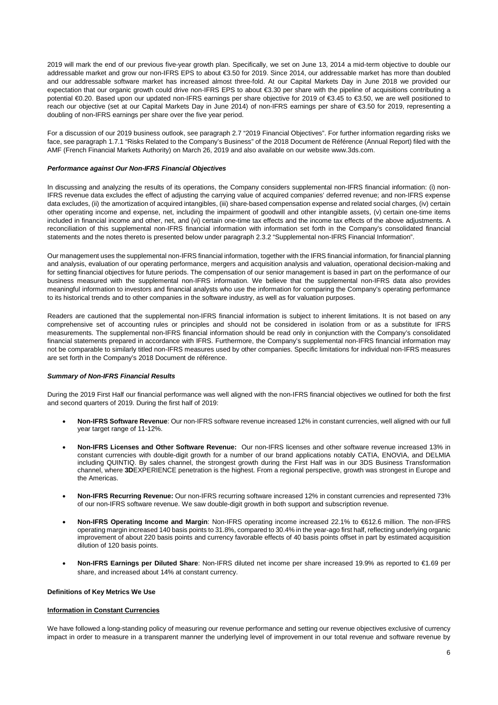2019 will mark the end of our previous five-year growth plan. Specifically, we set on June 13, 2014 a mid-term objective to double our addressable market and grow our non-IFRS EPS to about €3.50 for 2019. Since 2014, our addressable market has more than doubled and our addressable software market has increased almost three-fold. At our Capital Markets Day in June 2018 we provided our expectation that our organic growth could drive non-IFRS EPS to about €3.30 per share with the pipeline of acquisitions contributing a potential €0.20. Based upon our updated non-IFRS earnings per share objective for 2019 of €3.45 to €3.50, we are well positioned to reach our objective (set at our Capital Markets Day in June 2014) of non-IFRS earnings per share of €3.50 for 2019, representing a doubling of non-IFRS earnings per share over the five year period.

For a discussion of our 2019 business outlook, see paragraph 2.7 "2019 Financial Objectives". For further information regarding risks we face, see paragraph 1.7.1 "Risks Related to the Company's Business" of the 2018 Document de Référence (Annual Report) filed with the AMF (French Financial Markets Authority) on March 26, 2019 and also available on our website www.3ds.com.

#### *Performance against Our Non-IFRS Financial Objectives*

In discussing and analyzing the results of its operations, the Company considers supplemental non-IFRS financial information: (i) non-IFRS revenue data excludes the effect of adjusting the carrying value of acquired companies' deferred revenue; and non-IFRS expense data excludes, (ii) the amortization of acquired intangibles, (iii) share-based compensation expense and related social charges, (iv) certain other operating income and expense, net, including the impairment of goodwill and other intangible assets, (v) certain one-time items included in financial income and other, net, and (vi) certain one-time tax effects and the income tax effects of the above adjustments. A reconciliation of this supplemental non-IFRS financial information with information set forth in the Company's consolidated financial statements and the notes thereto is presented below under paragraph 2.3.2 "Supplemental non-IFRS Financial Information".

Our management uses the supplemental non-IFRS financial information, together with the IFRS financial information, for financial planning and analysis, evaluation of our operating performance, mergers and acquisition analysis and valuation, operational decision-making and for setting financial objectives for future periods. The compensation of our senior management is based in part on the performance of our business measured with the supplemental non-IFRS information. We believe that the supplemental non-IFRS data also provides meaningful information to investors and financial analysts who use the information for comparing the Company's operating performance to its historical trends and to other companies in the software industry, as well as for valuation purposes.

Readers are cautioned that the supplemental non-IFRS financial information is subject to inherent limitations. It is not based on any comprehensive set of accounting rules or principles and should not be considered in isolation from or as a substitute for IFRS measurements. The supplemental non-IFRS financial information should be read only in conjunction with the Company's consolidated financial statements prepared in accordance with IFRS. Furthermore, the Company's supplemental non-IFRS financial information may not be comparable to similarly titled non-IFRS measures used by other companies. Specific limitations for individual non-IFRS measures are set forth in the Company's 2018 Document de référence.

#### *Summary of Non-IFRS Financial Results*

During the 2019 First Half our financial performance was well aligned with the non-IFRS financial objectives we outlined for both the first and second quarters of 2019. During the first half of 2019:

- **Non-IFRS Software Revenue**: Our non-IFRS software revenue increased 12% in constant currencies, well aligned with our full year target range of 11-12%.
- **Non-IFRS Licenses and Other Software Revenue:** Our non-IFRS licenses and other software revenue increased 13% in constant currencies with double-digit growth for a number of our brand applications notably CATIA, ENOVIA, and DELMIA including QUINTIQ. By sales channel, the strongest growth during the First Half was in our 3DS Business Transformation channel, where **3D**EXPERIENCE penetration is the highest. From a regional perspective, growth was strongest in Europe and the Americas.
- **Non-IFRS Recurring Revenue:** Our non-IFRS recurring software increased 12% in constant currencies and represented 73% of our non-IFRS software revenue. We saw double-digit growth in both support and subscription revenue.
- **Non-IFRS Operating Income and Margin**: Non-IFRS operating income increased 22.1% to €612.6 million. The non-IFRS operating margin increased 140 basis points to 31.8%, compared to 30.4% in the year-ago first half, reflecting underlying organic improvement of about 220 basis points and currency favorable effects of 40 basis points offset in part by estimated acquisition dilution of 120 basis points.
- **Non-IFRS Earnings per Diluted Share**: Non-IFRS diluted net income per share increased 19.9% as reported to €1.69 per share, and increased about 14% at constant currency.

#### **Definitions of Key Metrics We Use**

#### **Information in Constant Currencies**

We have followed a long-standing policy of measuring our revenue performance and setting our revenue objectives exclusive of currency impact in order to measure in a transparent manner the underlying level of improvement in our total revenue and software revenue by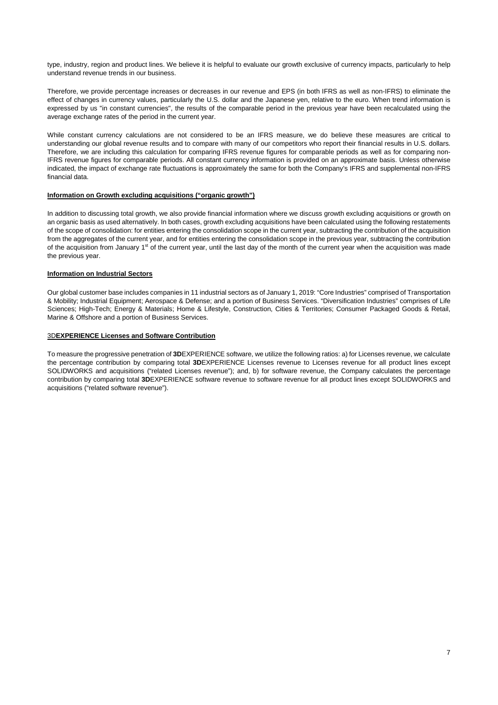type, industry, region and product lines. We believe it is helpful to evaluate our growth exclusive of currency impacts, particularly to help understand revenue trends in our business.

Therefore, we provide percentage increases or decreases in our revenue and EPS (in both IFRS as well as non-IFRS) to eliminate the effect of changes in currency values, particularly the U.S. dollar and the Japanese yen, relative to the euro. When trend information is expressed by us "in constant currencies", the results of the comparable period in the previous year have been recalculated using the average exchange rates of the period in the current year.

While constant currency calculations are not considered to be an IFRS measure, we do believe these measures are critical to understanding our global revenue results and to compare with many of our competitors who report their financial results in U.S. dollars. Therefore, we are including this calculation for comparing IFRS revenue figures for comparable periods as well as for comparing non-IFRS revenue figures for comparable periods. All constant currency information is provided on an approximate basis. Unless otherwise indicated, the impact of exchange rate fluctuations is approximately the same for both the Company's IFRS and supplemental non-IFRS financial data.

#### **Information on Growth excluding acquisitions ("organic growth")**

In addition to discussing total growth, we also provide financial information where we discuss growth excluding acquisitions or growth on an organic basis as used alternatively. In both cases, growth excluding acquisitions have been calculated using the following restatements of the scope of consolidation: for entities entering the consolidation scope in the current year, subtracting the contribution of the acquisition from the aggregates of the current year, and for entities entering the consolidation scope in the previous year, subtracting the contribution of the acquisition from January 1<sup>st</sup> of the current year, until the last day of the month of the current year when the acquisition was made the previous year.

#### **Information on Industrial Sectors**

Our global customer base includes companies in 11 industrial sectors as of January 1, 2019: "Core Industries" comprised of Transportation & Mobility; Industrial Equipment; Aerospace & Defense; and a portion of Business Services. "Diversification Industries" comprises of Life Sciences; High-Tech; Energy & Materials; Home & Lifestyle, Construction, Cities & Territories; Consumer Packaged Goods & Retail, Marine & Offshore and a portion of Business Services.

#### 3D**EXPERIENCE Licenses and Software Contribution**

To measure the progressive penetration of **3D**EXPERIENCE software, we utilize the following ratios: a) for Licenses revenue, we calculate the percentage contribution by comparing total **3D**EXPERIENCE Licenses revenue to Licenses revenue for all product lines except SOLIDWORKS and acquisitions ("related Licenses revenue"); and, b) for software revenue, the Company calculates the percentage contribution by comparing total **3D**EXPERIENCE software revenue to software revenue for all product lines except SOLIDWORKS and acquisitions ("related software revenue").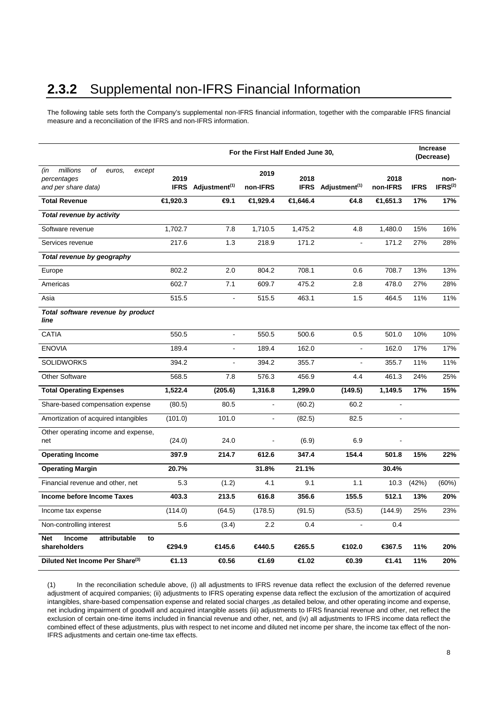### <span id="page-8-0"></span>**2.3.2** Supplemental non-IFRS Financial Information

The following table sets forth the Company's supplemental non-IFRS financial information, together with the comparable IFRS financial measure and a reconciliation of the IFRS and non-IFRS information.

|                                                            | For the First Half Ended June 30, |                                |                  |          |                                |                  |             |                             |
|------------------------------------------------------------|-----------------------------------|--------------------------------|------------------|----------|--------------------------------|------------------|-------------|-----------------------------|
| millions<br>of<br>(in<br>euros,<br>except<br>percentages   | 2019                              | IFRS Adjustment <sup>(1)</sup> | 2019<br>non-IFRS | 2018     | IFRS Adjustment <sup>(1)</sup> | 2018<br>non-IFRS | <b>IFRS</b> | non-<br>IFRS <sup>(2)</sup> |
| and per share data)                                        |                                   |                                |                  |          |                                |                  |             |                             |
| <b>Total Revenue</b>                                       | €1,920.3                          | $\bigoplus$ .1                 | €1,929.4         | €1,646.4 | 64.8                           | €1,651.3         | 17%         | 17%                         |
| Total revenue by activity                                  |                                   |                                |                  |          |                                |                  |             |                             |
| Software revenue                                           | 1,702.7                           | 7.8                            | 1,710.5          | 1,475.2  | 4.8                            | 1,480.0          | 15%         | 16%                         |
| Services revenue                                           | 217.6                             | 1.3                            | 218.9            | 171.2    | $\overline{\phantom{a}}$       | 171.2            | 27%         | 28%                         |
| Total revenue by geography                                 |                                   |                                |                  |          |                                |                  |             |                             |
| Europe                                                     | 802.2                             | 2.0                            | 804.2            | 708.1    | 0.6                            | 708.7            | 13%         | 13%                         |
| Americas                                                   | 602.7                             | 7.1                            | 609.7            | 475.2    | 2.8                            | 478.0            | 27%         | 28%                         |
| Asia                                                       | 515.5                             | $\sim$                         | 515.5            | 463.1    | 1.5                            | 464.5            | 11%         | 11%                         |
| Total software revenue by product<br>line                  |                                   |                                |                  |          |                                |                  |             |                             |
| CATIA                                                      | 550.5                             | $\omega$                       | 550.5            | 500.6    | 0.5                            | 501.0            | 10%         | 10%                         |
| <b>ENOVIA</b>                                              | 189.4                             | $\sim$                         | 189.4            | 162.0    | ÷.                             | 162.0            | 17%         | 17%                         |
| <b>SOLIDWORKS</b>                                          | 394.2                             | $\mathbf{r}$                   | 394.2            | 355.7    | $\overline{\phantom{a}}$       | 355.7            | 11%         | 11%                         |
| <b>Other Software</b>                                      | 568.5                             | 7.8                            | 576.3            | 456.9    | 4.4                            | 461.3            | 24%         | 25%                         |
| <b>Total Operating Expenses</b>                            | 1,522.4                           | (205.6)                        | 1,316.8          | 1,299.0  | (149.5)                        | 1,149.5          | 17%         | 15%                         |
| Share-based compensation expense                           | (80.5)                            | 80.5                           |                  | (60.2)   | 60.2                           | $\sim$           |             |                             |
| Amortization of acquired intangibles                       | (101.0)                           | 101.0                          | $\mathbf{r}$     | (82.5)   | 82.5                           |                  |             |                             |
| Other operating income and expense,<br>net                 | (24.0)                            | 24.0                           |                  | (6.9)    | 6.9                            |                  |             |                             |
| <b>Operating Income</b>                                    | 397.9                             | 214.7                          | 612.6            | 347.4    | 154.4                          | 501.8            | 15%         | 22%                         |
| <b>Operating Margin</b>                                    | 20.7%                             |                                | 31.8%            | 21.1%    |                                | 30.4%            |             |                             |
| Financial revenue and other, net                           | 5.3                               | (1.2)                          | 4.1              | 9.1      | 1.1                            | 10.3             | (42%)       | $(60\%)$                    |
| Income before Income Taxes                                 | 403.3                             | 213.5                          | 616.8            | 356.6    | 155.5                          | 512.1            | 13%         | 20%                         |
| Income tax expense                                         | (114.0)                           | (64.5)                         | (178.5)          | (91.5)   | (53.5)                         | (144.9)          | 25%         | 23%                         |
| Non-controlling interest                                   | 5.6                               | (3.4)                          | 2.2              | 0.4      | $\blacksquare$                 | 0.4              |             |                             |
| attributable<br><b>Net</b><br>Income<br>to<br>shareholders | €294.9                            | €145.6                         | €440.5           | €265.5   | €102.0                         | €367.5           | 11%         | 20%                         |
| Diluted Net Income Per Share <sup>(3)</sup>                | €1.13                             | $\bigoplus .56$                | €1.69            | €1.02    | $\bigoplus .39$                | €1.41            | 11%         | 20%                         |

(1) In the reconciliation schedule above, (i) all adjustments to IFRS revenue data reflect the exclusion of the deferred revenue adjustment of acquired companies; (ii) adjustments to IFRS operating expense data reflect the exclusion of the amortization of acquired intangibles, share-based compensation expense and related social charges ,as detailed below, and other operating income and expense, net including impairment of goodwill and acquired intangible assets (iii) adjustments to IFRS financial revenue and other, net reflect the exclusion of certain one-time items included in financial revenue and other, net, and (iv) all adjustments to IFRS income data reflect the combined effect of these adjustments, plus with respect to net income and diluted net income per share, the income tax effect of the non-IFRS adjustments and certain one-time tax effects.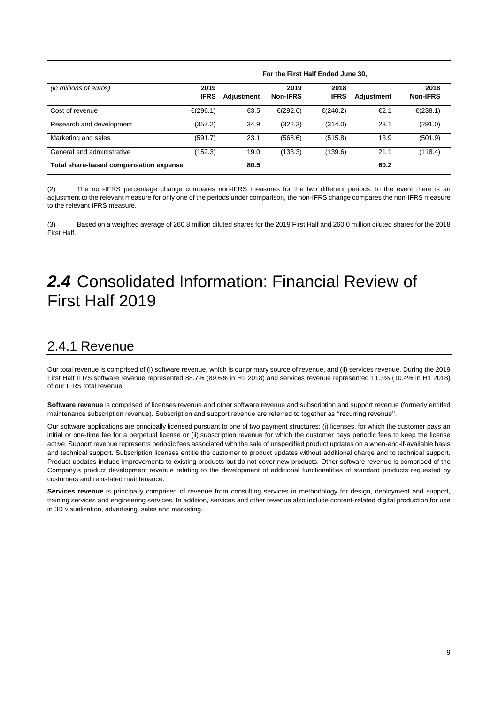|                                        |                     | For the First Half Ended June 30, |                         |                     |            |                         |  |
|----------------------------------------|---------------------|-----------------------------------|-------------------------|---------------------|------------|-------------------------|--|
| (in millions of euros)                 | 2019<br><b>IFRS</b> | <b>Adjustment</b>                 | 2019<br><b>Non-IFRS</b> | 2018<br><b>IFRS</b> | Adjustment | 2018<br><b>Non-IFRS</b> |  |
| Cost of revenue                        | € $(296.1)$         | € $3.5$                           | € $(292.6)$             | € $(240.2)$         | €2.1       | € $(238.1)$             |  |
| Research and development               | (357.2)             | 34.9                              | (322.3)                 | (314.0)             | 23.1       | (291.0)                 |  |
| Marketing and sales                    | (591.7)             | 23.1                              | (568.6)                 | (515.8)             | 13.9       | (501.9)                 |  |
| General and administrative             | (152.3)             | 19.0                              | (133.3)                 | (139.6)             | 21.1       | (118.4)                 |  |
| Total share-based compensation expense |                     | 80.5                              |                         |                     | 60.2       |                         |  |

(2) The non-IFRS percentage change compares non-IFRS measures for the two different periods. In the event there is an adjustment to the relevant measure for only one of the periods under comparison, the non-IFRS change compares the non-IFRS measure to the relevant IFRS measure.

(3) Based on a weighted average of 260.8 million diluted shares for the 2019 First Half and 260.0 million diluted shares for the 2018 First Half.

### <span id="page-9-0"></span>*2.4* Consolidated Information: Financial Review of First Half 2019

### <span id="page-9-1"></span>2.4.1 Revenue

Our total revenue is comprised of (i) software revenue, which is our primary source of revenue, and (ii) services revenue. During the 2019 First Half IFRS software revenue represented 88.7% (89.6% in H1 2018) and services revenue represented 11.3% (10.4% in H1 2018) of our IFRS total revenue.

**Software revenue** is comprised of licenses revenue and other software revenue and subscription and support revenue (formerly entitled maintenance subscription revenue). Subscription and support revenue are referred to together as ''recurring revenue''.

Our software applications are principally licensed pursuant to one of two payment structures: (i) licenses, for which the customer pays an initial or one-time fee for a perpetual license or (ii) subscription revenue for which the customer pays periodic fees to keep the license active. Support revenue represents periodic fees associated with the sale of unspecified product updates on a when-and-if-available basis and technical support. Subscription licenses entitle the customer to product updates without additional charge and to technical support. Product updates include improvements to existing products but do not cover new products. Other software revenue is comprised of the Company's product development revenue relating to the development of additional functionalities of standard products requested by customers and reinstated maintenance.

**Services revenue** is principally comprised of revenue from consulting services in methodology for design, deployment and support, training services and engineering services. In addition, services and other revenue also include content- related digital production for use in 3D visualization, advertising, sales and marketing.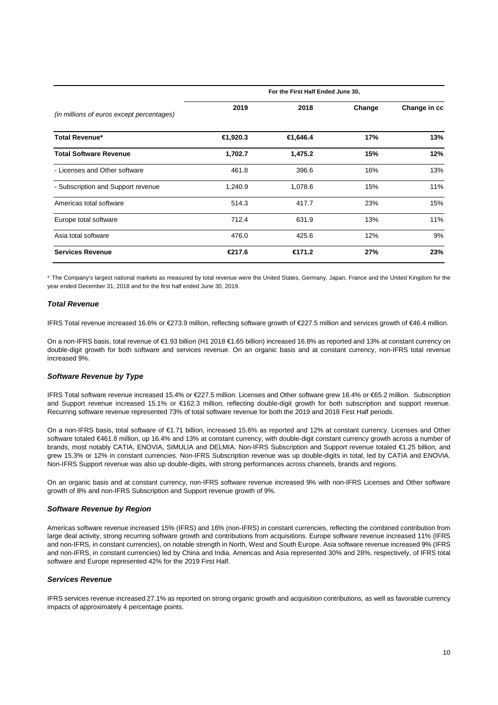|                                           | For the First Half Ended June 30, |          |        |              |  |  |  |  |
|-------------------------------------------|-----------------------------------|----------|--------|--------------|--|--|--|--|
| (in millions of euros except percentages) | 2019                              | 2018     | Change | Change in cc |  |  |  |  |
| <b>Total Revenue*</b>                     | €1,920.3                          | €1,646.4 | 17%    | 13%          |  |  |  |  |
| <b>Total Software Revenue</b>             | 1,702.7                           | 1,475.2  | 15%    | 12%          |  |  |  |  |
| - Licenses and Other software             | 461.8                             | 396.6    | 16%    | 13%          |  |  |  |  |
| - Subscription and Support revenue        | 1,240.9                           | 1,078.6  | 15%    | 11%          |  |  |  |  |
| Americas total software                   | 514.3                             | 417.7    | 23%    | 15%          |  |  |  |  |
| Europe total software                     | 712.4                             | 631.9    | 13%    | 11%          |  |  |  |  |
| Asia total software                       | 476.0                             | 425.6    | 12%    | 9%           |  |  |  |  |
| <b>Services Revenue</b>                   | €217.6                            | €171.2   | 27%    | 23%          |  |  |  |  |

\* The Company's largest national markets as measured by total revenue were the United States, Germany, Japan, France and the United Kingdom for the year ended December 31, 2018 and for the first half ended June 30, 2019.

#### *Total Revenue*

IFRS Total revenue increased 16.6% or €273.9 million, reflecting software growth of €227.5 million and services growth of €46.4 million.

On a non-IFRS basis, total revenue of €1.93 billion (H1 2018 €1.65 billion) increased 16.8% as reported and 13% at constant currency on double-digit growth for both software and services revenue. On an organic basis and at constant currency, non-IFRS total revenue increased 9%.

#### *Software Revenue by Type*

IFRS Total software revenue increased 15.4% or €227.5 million. Licenses and Other software grew 16.4% or €65.2 million. Subscription and Support revenue increased 15.1% or €162.3 million, reflecting double-digit growth for both subscription and support revenue. Recurring software revenue represented 73% of total software revenue for both the 2019 and 2018 First Half periods.

On a non-IFRS basis, total software of €1.71 billion, increased 15.6% as reported and 12% at constant currency. Licenses and Other software totaled €461.8 million, up 16.4% and 13% at constant currency, with double-digit constant currency growth across a number of brands, most notably CATIA, ENOVIA, SIMULIA and DELMIA. Non-IFRS Subscription and Support revenue totaled €1.25 billion, and grew 15.3% or 12% in constant currencies. Non-IFRS Subscription revenue was up double-digits in total, led by CATIA and ENOVIA. Non-IFRS Support revenue was also up double-digits, with strong performances across channels, brands and regions.

On an organic basis and at constant currency, non-IFRS software revenue increased 9% with non-IFRS Licenses and Other software growth of 8% and non-IFRS Subscription and Support revenue growth of 9%.

#### *Software Revenue by Region*

Americas software revenue increased 15% (IFRS) and 16% (non-IFRS) in constant currencies, reflecting the combined contribution from large deal activity, strong recurring software growth and contributions from acquisitions. Europe software revenue increased 11% (IFRS and non-IFRS, in constant currencies), on notable strength in North, West and South Europe. Asia software revenue increased 9% (IFRS and non-IFRS, in constant currencies) led by China and India. Americas and Asia represented 30% and 28%, respectively, of IFRS total software and Europe represented 42% for the 2019 First Half.

#### *Services Revenue*

IFRS services revenue increased 27.1% as reported on strong organic growth and acquisition contributions, as well as favorable currency impacts of approximately 4 percentage points.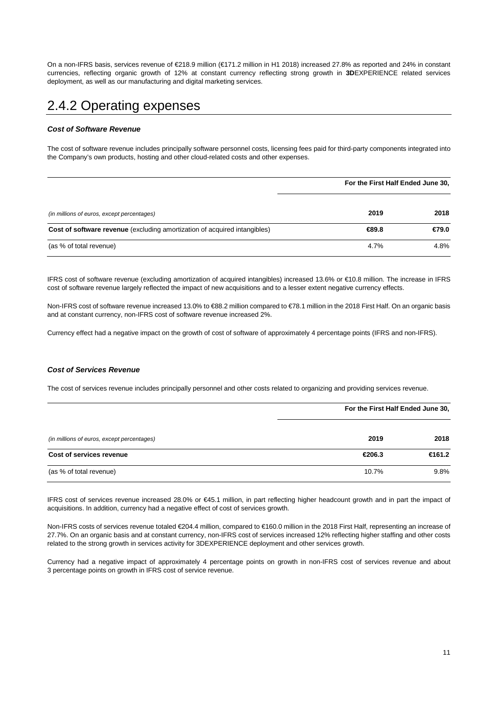On a non-IFRS basis, services revenue of €218.9 million (€171.2 million in H1 2018) increased 27.8% as reported and 24% in constant currencies, reflecting organic growth of 12% at constant currency reflecting strong growth in **3D**EXPERIENCE related services deployment, as well as our manufacturing and digital marketing services.

### <span id="page-11-0"></span>2.4.2 Operating expenses

#### *Cost of Software Revenue*

The cost of software revenue includes principally software personnel costs, licensing fees paid for third-party components integrated into the Company's own products, hosting and other cloud-related costs and other expenses.

|                                                                           | For the First Half Ended June 30, |       |
|---------------------------------------------------------------------------|-----------------------------------|-------|
| (in millions of euros, except percentages)                                | 2019                              | 2018  |
| Cost of software revenue (excluding amortization of acquired intangibles) | $-639.8$                          | ∈79.0 |
| (as % of total revenue)                                                   | 4.7%                              | 4.8%  |

IFRS cost of software revenue (excluding amortization of acquired intangibles) increased 13.6% or €10.8 million. The increase in IFRS cost of software revenue largely reflected the impact of new acquisitions and to a lesser extent negative currency effects.

Non-IFRS cost of software revenue increased 13.0% to €88.2 million compared to €78.1 million in the 2018 First Half. On an organic basis and at constant currency, non-IFRS cost of software revenue increased 2%.

Currency effect had a negative impact on the growth of cost of software of approximately 4 percentage points (IFRS and non-IFRS).

#### *Cost of Services Revenue*

The cost of services revenue includes principally personnel and other costs related to organizing and providing services revenue.

|                                            |        | For the First Half Ended June 30, |  |  |
|--------------------------------------------|--------|-----------------------------------|--|--|
| (in millions of euros, except percentages) | 2019   | 2018                              |  |  |
| Cost of services revenue                   | €206.3 | €161.2                            |  |  |
| (as % of total revenue)                    | 10.7%  | 9.8%                              |  |  |

IFRS cost of services revenue increased 28.0% or €45.1 million, in part reflecting higher headcount growth and in part the impact of acquisitions. In addition, currency had a negative effect of cost of services growth.

Non-IFRS costs of services revenue totaled €204.4 million, compared to €160.0 million in the 2018 First Half, representing an increase of 27.7%. On an organic basis and at constant currency, non-IFRS cost of services increased 12% reflecting higher staffing and other costs related to the strong growth in services activity for 3DEXPERIENCE deployment and other services growth.

Currency had a negative impact of approximately 4 percentage points on growth in non-IFRS cost of services revenue and about 3 percentage points on growth in IFRS cost of service revenue.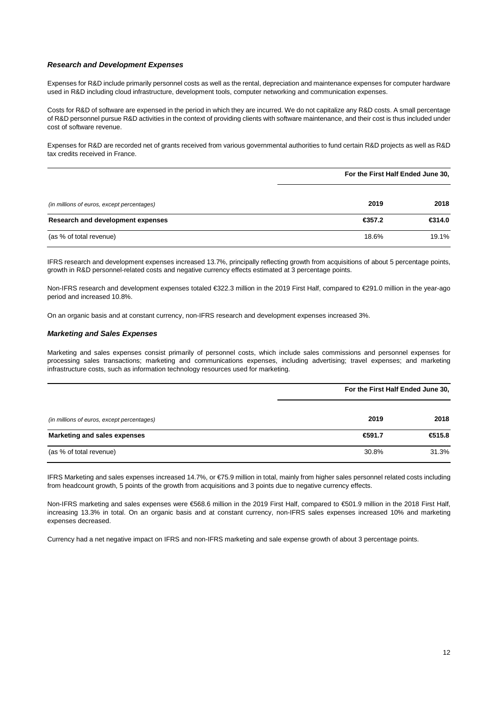#### *Research and Development Expenses*

Expenses for R&D include primarily personnel costs as well as the rental, depreciation and maintenance expenses for computer hardware used in R&D including cloud infrastructure, development tools, computer networking and communication expenses.

Costs for R&D of software are expensed in the period in which they are incurred. We do not capitalize any R&D costs. A small percentage of R&D personnel pursue R&D activities in the context of providing clients with software maintenance, and their cost is thus included under cost of software revenue.

Expenses for R&D are recorded net of grants received from various governmental authorities to fund certain R&D projects as well as R&D tax credits received in France.

|                                            | For the First Half Ended June 30, |        |
|--------------------------------------------|-----------------------------------|--------|
| (in millions of euros, except percentages) | 2019                              | 2018   |
| Research and development expenses          | €357.2                            | €314.0 |
| (as % of total revenue)                    | 18.6%                             | 19.1%  |

IFRS research and development expenses increased 13.7%, principally reflecting growth from acquisitions of about 5 percentage points, growth in R&D personnel-related costs and negative currency effects estimated at 3 percentage points.

Non-IFRS research and development expenses totaled €322.3 million in the 2019 First Half, compared to €291.0 million in the year-ago period and increased 10.8%.

On an organic basis and at constant currency, non-IFRS research and development expenses increased 3%.

#### *Marketing and Sales Expenses*

Marketing and sales expenses consist primarily of personnel costs, which include sales commissions and personnel expenses for processing sales transactions; marketing and communications expenses, including advertising; travel expenses; and marketing infrastructure costs, such as information technology resources used for marketing.

|                                            |        | For the First Half Ended June 30, |
|--------------------------------------------|--------|-----------------------------------|
| (in millions of euros, except percentages) | 2019   | 2018                              |
| <b>Marketing and sales expenses</b>        | €591.7 | €15.8                             |
| (as % of total revenue)                    | 30.8%  | 31.3%                             |

IFRS Marketing and sales expenses increased 14.7%, or €75.9 million in total, mainly from higher sales personnel related costs including from headcount growth, 5 points of the growth from acquisitions and 3 points due to negative currency effects.

Non-IFRS marketing and sales expenses were €568.6 million in the 2019 First Half, compared to €501.9 million in the 2018 First Half, increasing 13.3% in total. On an organic basis and at constant currency, non-IFRS sales expenses increased 10% and marketing expenses decreased.

Currency had a net negative impact on IFRS and non-IFRS marketing and sale expense growth of about 3 percentage points.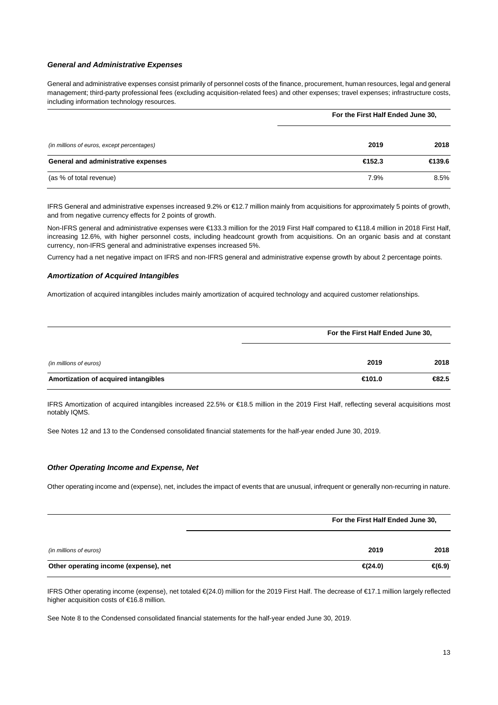#### *General and Administrative Expenses*

General and administrative expenses consist primarily of personnel costs of the finance, procurement, human resources, legal and general management; third-party professional fees (excluding acquisition-related fees) and other expenses; travel expenses; infrastructure costs, including information technology resources.

|                                            |        | For the First Half Ended June 30, |  |  |  |
|--------------------------------------------|--------|-----------------------------------|--|--|--|
| (in millions of euros, except percentages) | 2019   | 2018                              |  |  |  |
| General and administrative expenses        | ∈152.3 | €139.6                            |  |  |  |
| (as % of total revenue)                    | 7.9%   | 8.5%                              |  |  |  |

IFRS General and administrative expenses increased 9.2% or €12.7 million mainly from acquisitions for approximately 5 points of growth, and from negative currency effects for 2 points of growth.

Non-IFRS general and administrative expenses were €133.3 million for the 2019 First Half compared to €118.4 million in 2018 First Half, increasing 12.6%, with higher personnel costs, including headcount growth from acquisitions. On an organic basis and at constant currency, non-IFRS general and administrative expenses increased 5%.

Currency had a net negative impact on IFRS and non-IFRS general and administrative expense growth by about 2 percentage points.

#### *Amortization of Acquired Intangibles*

Amortization of acquired intangibles includes mainly amortization of acquired technology and acquired customer relationships.

|                                      | For the First Half Ended June 30, |                       |
|--------------------------------------|-----------------------------------|-----------------------|
| (in millions of euros)               | 2019                              | 2018                  |
| Amortization of acquired intangibles | €101.0                            | $\Leftrightarrow$ 2.5 |

IFRS Amortization of acquired intangibles increased 22.5% or €18.5 million in the 2019 First Half, reflecting several acquisitions most notably IQMS.

See Notes 12 and 13 to the Condensed consolidated financial statements for the half-year ended June 30, 2019.

#### *Other Operating Income and Expense, Net*

Other operating income and (expense), net, includes the impact of events that are unusual, infrequent or generally non-recurring in nature.

|                                       | For the First Half Ended June 30, |                                |
|---------------------------------------|-----------------------------------|--------------------------------|
| (in millions of euros)                | 2019                              | 2018                           |
| Other operating income (expense), net | <del><math>€(24.0)</math></del>   | <del><math>€(6.9)</math></del> |

IFRS Other operating income (expense), net totaled €(24.0) million for the 2019 First Half. The decrease of €17.1 million largely reflected higher acquisition costs of €16.8 million.

See Note 8 to the Condensed consolidated financial statements for the half-year ended June 30, 2019.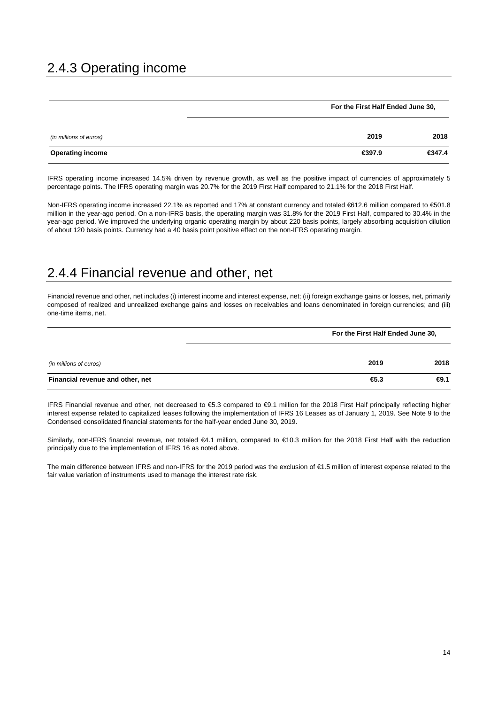### <span id="page-14-0"></span>2.4.3 Operating income

|                         |        | For the First Half Ended June 30, |  |  |
|-------------------------|--------|-----------------------------------|--|--|
| (in millions of euros)  | 2019   | 2018                              |  |  |
| <b>Operating income</b> | €397.9 | €347.4                            |  |  |

IFRS operating income increased 14.5% driven by revenue growth, as well as the positive impact of currencies of approximately 5 percentage points. The IFRS operating margin was 20.7% for the 2019 First Half compared to 21.1% for the 2018 First Half.

Non-IFRS operating income increased 22.1% as reported and 17% at constant currency and totaled €612.6 million compared to €501.8 million in the year-ago period. On a non-IFRS basis, the operating margin was 31.8% for the 2019 First Half, compared to 30.4% in the year-ago period. We improved the underlying organic operating margin by about 220 basis points, largely absorbing acquisition dilution of about 120 basis points. Currency had a 40 basis point positive effect on the non-IFRS operating margin.

### <span id="page-14-1"></span>2.4.4 Financial revenue and other, net

Financial revenue and other, net includes (i) interest income and interest expense, net; (ii) foreign exchange gains or losses, net, primarily composed of realized and unrealized exchange gains and losses on receivables and loans denominated in foreign currencies; and (iii) one-time items, net.

|                                  | For the First Half Ended June 30, |      |
|----------------------------------|-----------------------------------|------|
| (in millions of euros)           | 2019                              | 2018 |
| Financial revenue and other, net | €5.3                              | €9.1 |

IFRS Financial revenue and other, net decreased to €5.3 compared to €9.1 million for the 2018 First Half principally reflecting higher interest expense related to capitalized leases following the implementation of IFRS 16 Leases as of January 1, 2019. See Note 9 to the Condensed consolidated financial statements for the half-year ended June 30, 2019.

Similarly, non-IFRS financial revenue, net totaled €4.1 million, compared to €10.3 million for the 2018 First Half with the reduction principally due to the implementation of IFRS 16 as noted above.

The main difference between IFRS and non-IFRS for the 2019 period was the exclusion of €1.5 million of interest expense related to the fair value variation of instruments used to manage the interest rate risk.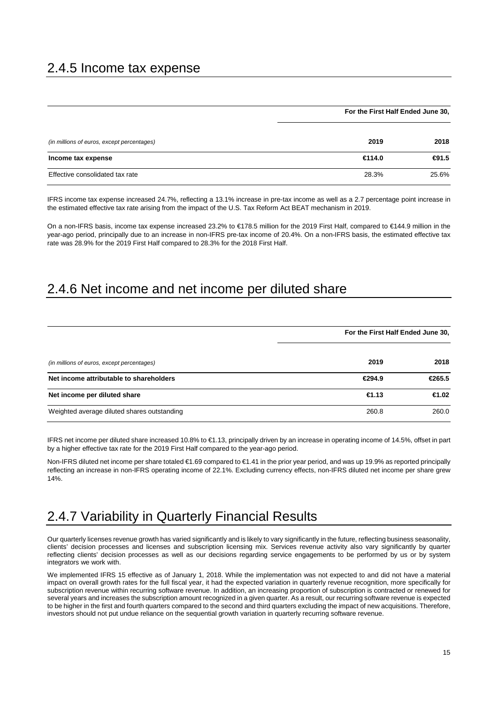### <span id="page-15-0"></span>2.4.5 Income tax expense

|                                            |  |        | For the First Half Ended June 30, |
|--------------------------------------------|--|--------|-----------------------------------|
| (in millions of euros, except percentages) |  | 2019   | 2018                              |
| Income tax expense                         |  | €114.0 | $\bigoplus$ 1.5                   |
| Effective consolidated tax rate            |  | 28.3%  | 25.6%                             |

IFRS income tax expense increased 24.7%, reflecting a 13.1% increase in pre-tax income as well as a 2.7 percentage point increase in the estimated effective tax rate arising from the impact of the U.S. Tax Reform Act BEAT mechanism in 2019.

On a non-IFRS basis, income tax expense increased 23.2% to €178.5 million for the 2019 First Half, compared to €144.9 million in the year-ago period, principally due to an increase in non-IFRS pre-tax income of 20.4%. On a non-IFRS basis, the estimated effective tax rate was 28.9% for the 2019 First Half compared to 28.3% for the 2018 First Half.

### <span id="page-15-1"></span>2.4.6 Net income and net income per diluted share

|                                             |                 | For the First Half Ended June 30, |
|---------------------------------------------|-----------------|-----------------------------------|
| (in millions of euros, except percentages)  | 2019            | 2018                              |
| Net income attributable to shareholders     | €294.9          | €265.5                            |
| Net income per diluted share                | $\epsilon$ 1.13 | €1.02                             |
| Weighted average diluted shares outstanding | 260.8           | 260.0                             |

IFRS net income per diluted share increased 10.8% to €1.13, principally driven by an increase in operating income of 14.5%, offset in part by a higher effective tax rate for the 2019 First Half compared to the year-ago period.

Non-IFRS diluted net income per share totaled €1.69 compared to €1.41 in the prior year period, and was up 19.9% as reported principally reflecting an increase in non-IFRS operating income of 22.1%. Excluding currency effects, non-IFRS diluted net income per share grew 14%.

### <span id="page-15-2"></span>2.4.7 Variability in Quarterly Financial Results

Our quarterly licenses revenue growth has varied significantly and is likely to vary significantly in the future, reflecting business seasonality, clients' decision processes and licenses and subscription licensing mix. Services revenue activity also vary significantly by quarter reflecting clients' decision processes as well as our decisions regarding service engagements to be performed by us or by system integrators we work with.

We implemented IFRS 15 effective as of January 1, 2018. While the implementation was not expected to and did not have a material impact on overall growth rates for the full fiscal year, it had the expected variation in quarterly revenue recognition, more specifically for subscription revenue within recurring software revenue. In addition, an increasing proportion of subscription is contracted or renewed for several years and increases the subscription amount recognized in a given quarter. As a result, our recurring software revenue is expected to be higher in the first and fourth quarters compared to the second and third quarters excluding the impact of new acquisitions. Therefore, investors should not put undue reliance on the sequential growth variation in quarterly recurring software revenue.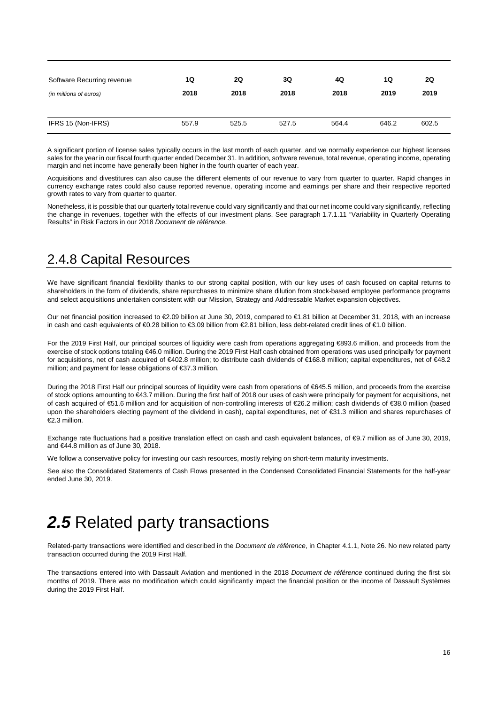| Software Recurring revenue | 1Q    | <b>2Q</b> | 3Q    | 4Q    | 1Q    | 2Q    |
|----------------------------|-------|-----------|-------|-------|-------|-------|
| (in millions of euros)     | 2018  | 2018      | 2018  | 2018  | 2019  | 2019  |
| IFRS 15 (Non-IFRS)         | 557.9 | 525.5     | 527.5 | 564.4 | 646.2 | 602.5 |

A significant portion of license sales typically occurs in the last month of each quarter, and we normally experience our highest licenses sales for the year in our fiscal fourth quarter ended December 31. In addition, software revenue, total revenue, operating income, operating margin and net income have generally been higher in the fourth quarter of each year.

Acquisitions and divestitures can also cause the different elements of our revenue to vary from quarter to quarter. Rapid changes in currency exchange rates could also cause reported revenue, operating income and earnings per share and their respective reported growth rates to vary from quarter to quarter.

Nonetheless, it is possible that our quarterly total revenue could vary significantly and that our net income could vary significantly, reflecting the change in revenues, together with the effects of our investment plans. See paragraph 1.7.1.11 "Variability in Quarterly Operating Results" in Risk Factors in our 2018 *Document de référence*.

### <span id="page-16-0"></span>2.4.8 Capital Resources

We have significant financial flexibility thanks to our strong capital position, with our key uses of cash focused on capital returns to shareholders in the form of dividends, share repurchases to minimize share dilution from stock-based employee performance programs and select acquisitions undertaken consistent with our Mission, Strategy and Addressable Market expansion objectives.

Our net financial position increased to €2.09 billion at June 30, 2019, compared to €1.81 billion at December 31, 2018, with an increase in cash and cash equivalents of €0.28 billion to €3.09 billion from €2.81 billion, less debt-related credit lines of €1.0 billion.

For the 2019 First Half, our principal sources of liquidity were cash from operations aggregating €893.6 million, and proceeds from the exercise of stock options totaling €46.0 million. During the 2019 First Half cash obtained from operations was used principally for payment for acquisitions, net of cash acquired of €402.8 million; to distribute cash dividends of €168.8 million; capital expenditures, net of €48.2 million; and payment for lease obligations of €37.3 million.

During the 2018 First Half our principal sources of liquidity were cash from operations of €645.5 million, and proceeds from the exercise of stock options amounting to €43.7 million. During the first half of 2018 our uses of cash were principally for payment for acquisitions, net of cash acquired of €51.6 million and for acquisition of non-controlling interests of €26.2 million; cash dividends of €38.0 million (based upon the shareholders electing payment of the dividend in cash), capital expenditures, net of €31.3 million and shares repurchases of €2.3 million.

Exchange rate fluctuations had a positive translation effect on cash and cash equivalent balances, of €9.7 million as of June 30, 2019, and €44.8 million as of June 30, 2018.

We follow a conservative policy for investing our cash resources, mostly relying on short-term maturity investments.

See also the Consolidated Statements of Cash Flows presented in the Condensed Consolidated Financial Statements for the half-year ended June 30, 2019.

### <span id="page-16-1"></span>*2.5* Related party transactions

Related-party transactions were identified and described in the *Document de référence*, in Chapter 4.1.1, Note 26. No new related party transaction occurred during the 2019 First Half.

The transactions entered into with Dassault Aviation and mentioned in the 2018 *Document de référence* continued during the first six months of 2019. There was no modification which could significantly impact the financial position or the income of Dassault Systèmes during the 2019 First Half.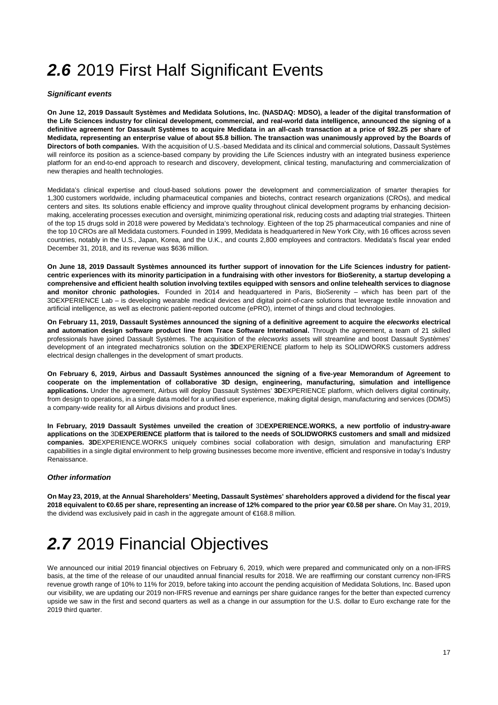### <span id="page-17-0"></span>*2.6* 2019 First Half Significant Events

#### *Significant events*

**On June 12, 2019 Dassault Systèmes and Medidata Solutions, Inc. (NASDAQ: MDSO), a leader of the digital transformation of the Life Sciences industry for clinical development, commercial, and real-world data intelligence, announced the signing of a definitive agreement for Dassault Systèmes to acquire Medidata in an all-cash transaction at a price of \$92.25 per share of Medidata, representing an enterprise value of about \$5.8 billion. The transaction was unanimously approved by the Boards of Directors of both companies.** With the acquisition of U.S.-based Medidata and its clinical and commercial solutions, Dassault Systèmes will reinforce its position as a science-based company by providing the Life Sciences industry with an integrated business experience platform for an end-to-end approach to research and discovery, development, clinical testing, manufacturing and commercialization of new therapies and health technologies.

Medidata's clinical expertise and cloud-based solutions power the development and commercialization of smarter therapies for 1,300 customers worldwide, including pharmaceutical companies and biotechs, contract research organizations (CROs), and medical centers and sites. Its solutions enable efficiency and improve quality throughout clinical development programs by enhancing decisionmaking, accelerating processes execution and oversight, minimizing operational risk, reducing costs and adapting trial strategies. Thirteen of the top 15 drugs sold in 2018 were powered by Medidata's technology. Eighteen of the top 25 pharmaceutical companies and nine of the top 10 CROs are all Medidata customers. Founded in 1999, Medidata is headquartered in New York City, with 16 offices across seven countries, notably in the U.S., Japan, Korea, and the U.K., and counts 2,800 employees and contractors. Medidata's fiscal year ended December 31, 2018, and its revenue was \$636 million.

**On June 18, 2019 Dassault Systèmes announced its further support of innovation for the Life Sciences industry for patientcentric experiences with its minority participation in a fundraising with other investors for BioSerenity, a startup developing a comprehensive and efficient health solution involving textiles equipped with sensors and online telehealth services to diagnose and monitor chronic pathologies.** Founded in 2014 and headquartered in Paris, BioSerenity – which has been part of the 3DEXPERIENCE Lab – is developing wearable medical devices and digital point-of-care solutions that leverage textile innovation and artificial intelligence, as well as electronic patient-reported outcome (ePRO), internet of things and cloud technologies.

**On February 11, 2019, Dassault Systèmes announced the signing of a definitive agreement to acquire the** *elecworks* **electrical and automation design software product line from Trace Software International.** Through the agreement, a team of 21 skilled professionals have joined Dassault Systèmes. The acquisition of the *elecworks* assets will streamline and boost Dassault Systèmes' development of an integrated mechatronics solution on the **3D**EXPERIENCE platform to help its SOLIDWORKS customers address electrical design challenges in the development of smart products.

**On February 6, 2019, Airbus and Dassault Systèmes announced the signing of a five-year Memorandum of Agreement to cooperate on the implementation of collaborative 3D design, engineering, manufacturing, simulation and intelligence applications.** Under the agreement, Airbus will deploy Dassault Systèmes' **3D**EXPERIENCE platform, which delivers digital continuity, from design to operations, in a single data model for a unified user experience, making digital design, manufacturing and services (DDMS) a company-wide reality for all Airbus divisions and product lines.

**In February, 2019 Dassault Systèmes unveiled the creation of** 3D**EXPERIENCE.WORKS, a new portfolio of industry-aware applications on the** 3D**EXPERIENCE platform that is tailored to the needs of SOLIDWORKS customers and small and midsized companies. 3D**EXPERIENCE.WORKS uniquely combines social collaboration with design, simulation and manufacturing ERP capabilities in a single digital environment to help growing businesses become more inventive, efficient and responsive in today's Industry Renaissance.

#### *Other information*

**On May 23, 2019, at the Annual Shareholders' Meeting, Dassault Systèmes' shareholders approved a dividend for the fiscal year 2018 equivalent to €0.65 per share, representing an increase of 12% compared to the prior year €0.58 per share.** On May 31, 2019, the dividend was exclusively paid in cash in the aggregate amount of €168.8 million.

### <span id="page-17-1"></span>*2.7* 2019 Financial Objectives

We announced our initial 2019 financial objectives on February 6, 2019, which were prepared and communicated only on a non-IFRS basis, at the time of the release of our unaudited annual financial results for 2018. We are reaffirming our constant currency non-IFRS revenue growth range of 10% to 11% for 2019, before taking into account the pending acquisition of Medidata Solutions, Inc. Based upon our visibility, we are updating our 2019 non-IFRS revenue and earnings per share guidance ranges for the better than expected currency upside we saw in the first and second quarters as well as a change in our assumption for the U.S. dollar to Euro exchange rate for the 2019 third quarter.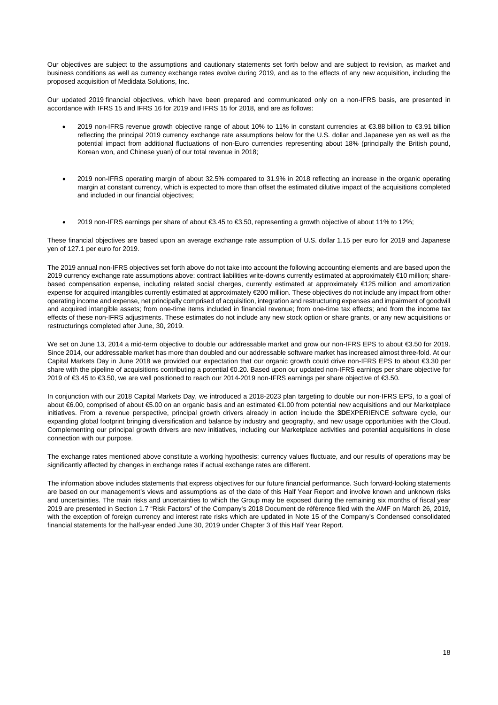Our objectives are subject to the assumptions and cautionary statements set forth below and are subject to revision, as market and business conditions as well as currency exchange rates evolve during 2019, and as to the effects of any new acquisition, including the proposed acquisition of Medidata Solutions, Inc.

Our updated 2019 financial objectives, which have been prepared and communicated only on a non-IFRS basis, are presented in accordance with IFRS 15 and IFRS 16 for 2019 and IFRS 15 for 2018, and are as follows:

- 2019 non-IFRS revenue growth objective range of about 10% to 11% in constant currencies at €3.88 billion to €3.91 billion reflecting the principal 2019 currency exchange rate assumptions below for the U.S. dollar and Japanese yen as well as the potential impact from additional fluctuations of non-Euro currencies representing about 18% (principally the British pound, Korean won, and Chinese yuan) of our total revenue in 2018;
- 2019 non-IFRS operating margin of about 32.5% compared to 31.9% in 2018 reflecting an increase in the organic operating margin at constant currency, which is expected to more than offset the estimated dilutive impact of the acquisitions completed and included in our financial objectives;
- 2019 non-IFRS earnings per share of about €3.45 to €3.50, representing a growth objective of about 11% to 12%;

These financial objectives are based upon an average exchange rate assumption of U.S. dollar 1.15 per euro for 2019 and Japanese yen of 127.1 per euro for 2019.

The 2019 annual non-IFRS objectives set forth above do not take into account the following accounting elements and are based upon the 2019 currency exchange rate assumptions above: contract liabilities write-downs currently estimated at approximately €10 million; sharebased compensation expense, including related social charges, currently estimated at approximately €125 million and amortization expense for acquired intangibles currently estimated at approximately €200 million. These objectives do not include any impact from other operating income and expense, net principally comprised of acquisition, integration and restructuring expenses and impairment of goodwill and acquired intangible assets; from one-time items included in financial revenue; from one-time tax effects; and from the income tax effects of these non-IFRS adjustments. These estimates do not include any new stock option or share grants, or any new acquisitions or restructurings completed after June, 30, 2019.

We set on June 13, 2014 a mid-term objective to double our addressable market and grow our non-IFRS EPS to about €3.50 for 2019. Since 2014, our addressable market has more than doubled and our addressable software market has increased almost three-fold. At our Capital Markets Day in June 2018 we provided our expectation that our organic growth could drive non-IFRS EPS to about €3.30 per share with the pipeline of acquisitions contributing a potential €0.20. Based upon our updated non-IFRS earnings per share objective for 2019 of €3.45 to €3.50, we are well positioned to reach our 2014-2019 non-IFRS earnings per share objective of €3.50.

In conjunction with our 2018 Capital Markets Day, we introduced a 2018-2023 plan targeting to double our non-IFRS EPS, to a goal of about €6.00, comprised of about €5.00 on an organic basis and an estimated €1.00 from potential new acquisitions and our Marketplace initiatives. From a revenue perspective, principal growth drivers already in action include the **3D**EXPERIENCE software cycle, our expanding global footprint bringing diversification and balance by industry and geography, and new usage opportunities with the Cloud. Complementing our principal growth drivers are new initiatives, including our Marketplace activities and potential acquisitions in close connection with our purpose.

The exchange rates mentioned above constitute a working hypothesis: currency values fluctuate, and our results of operations may be significantly affected by changes in exchange rates if actual exchange rates are different.

The information above includes statements that express objectives for our future financial performance. Such forward-looking statements are based on our management's views and assumptions as of the date of this Half Year Report and involve known and unknown risks and uncertainties. The main risks and uncertainties to which the Group may be exposed during the remaining six months of fiscal year 2019 are presented in Section 1.7 "Risk Factors" of the Company's 2018 Document de référence filed with the AMF on March 26, 2019, with the exception of foreign currency and interest rate risks which are updated in Note 15 of the Company's Condensed consolidated financial statements for the half-year ended June 30, 2019 under Chapter 3 of this Half Year Report.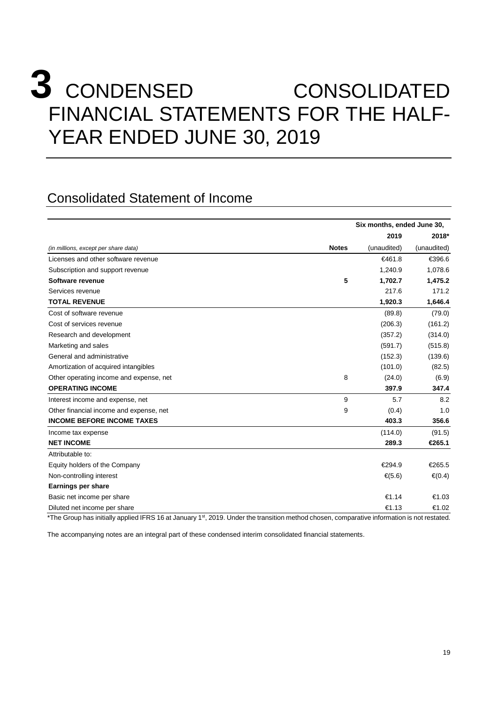# <span id="page-19-0"></span>**3** CONDENSED CONSOLIDATED FINANCIAL STATEMENTS FOR THE HALF-YEAR ENDED JUNE 30, 2019

### <span id="page-19-1"></span>Consolidated Statement of Income

|                                         | Six months, ended June 30, |             |             |
|-----------------------------------------|----------------------------|-------------|-------------|
|                                         |                            | 2019        | 2018*       |
| (in millions, except per share data)    | <b>Notes</b>               | (unaudited) | (unaudited) |
| Licenses and other software revenue     |                            | €461.8      | €396.6      |
| Subscription and support revenue        |                            | 1,240.9     | 1,078.6     |
| Software revenue                        | 5                          | 1,702.7     | 1,475.2     |
| Services revenue                        |                            | 217.6       | 171.2       |
| <b>TOTAL REVENUE</b>                    |                            | 1,920.3     | 1,646.4     |
| Cost of software revenue                |                            | (89.8)      | (79.0)      |
| Cost of services revenue                |                            | (206.3)     | (161.2)     |
| Research and development                |                            | (357.2)     | (314.0)     |
| Marketing and sales                     |                            | (591.7)     | (515.8)     |
| General and administrative              |                            | (152.3)     | (139.6)     |
| Amortization of acquired intangibles    |                            | (101.0)     | (82.5)      |
| Other operating income and expense, net | 8                          | (24.0)      | (6.9)       |
| <b>OPERATING INCOME</b>                 |                            | 397.9       | 347.4       |
| Interest income and expense, net        | 9                          | 5.7         | 8.2         |
| Other financial income and expense, net | 9                          | (0.4)       | 1.0         |
| <b>INCOME BEFORE INCOME TAXES</b>       |                            | 403.3       | 356.6       |
| Income tax expense                      |                            | (114.0)     | (91.5)      |
| <b>NET INCOME</b>                       |                            | 289.3       | €265.1      |
| Attributable to:                        |                            |             |             |
| Equity holders of the Company           |                            | €294.9      | €265.5      |
| Non-controlling interest                |                            | € $(5.6)$   | €(0.4)      |
| <b>Earnings per share</b>               |                            |             |             |
| Basic net income per share              |                            | €1.14       | €1.03       |
| Diluted net income per share            |                            | €1.13       | €1.02       |

\*The Group has initially applied IFRS 16 at January 1<sup>st</sup>, 2019. Under the transition method chosen, comparative information is not restated.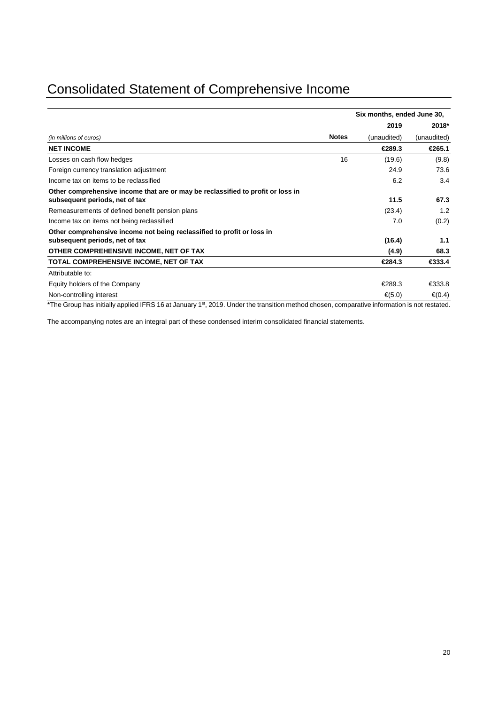### <span id="page-20-0"></span>Consolidated Statement of Comprehensive Income

|                                                                                                                                                          |              | Six months, ended June 30, |             |
|----------------------------------------------------------------------------------------------------------------------------------------------------------|--------------|----------------------------|-------------|
|                                                                                                                                                          |              | 2019                       | 2018*       |
| (in millions of euros)                                                                                                                                   | <b>Notes</b> | (unaudited)                | (unaudited) |
| <b>NET INCOME</b>                                                                                                                                        |              | €289.3                     | €265.1      |
| Losses on cash flow hedges                                                                                                                               | 16           | (19.6)                     | (9.8)       |
| Foreign currency translation adjustment                                                                                                                  |              | 24.9                       | 73.6        |
| Income tax on items to be reclassified                                                                                                                   |              | 6.2                        | 3.4         |
| Other comprehensive income that are or may be reclassified to profit or loss in<br>subsequent periods, net of tax                                        |              | 11.5                       | 67.3        |
| Remeasurements of defined benefit pension plans                                                                                                          |              | (23.4)                     | 1.2         |
| Income tax on items not being reclassified                                                                                                               |              | 7.0                        | (0.2)       |
| Other comprehensive income not being reclassified to profit or loss in<br>subsequent periods, net of tax                                                 |              | (16.4)                     | 1.1         |
| OTHER COMPREHENSIVE INCOME, NET OF TAX                                                                                                                   |              | (4.9)                      | 68.3        |
| TOTAL COMPREHENSIVE INCOME, NET OF TAX                                                                                                                   |              | €284.3                     | €333.4      |
| Attributable to:                                                                                                                                         |              |                            |             |
| Equity holders of the Company                                                                                                                            |              | €289.3                     | €333.8      |
| Non-controlling interest                                                                                                                                 |              | € $(5.0)$                  | €(0.4)      |
| *The Group has initially applied IFRS 16 at January 1 <sup>st</sup> , 2019. Under the transition method chosen, comparative information is not restated. |              |                            |             |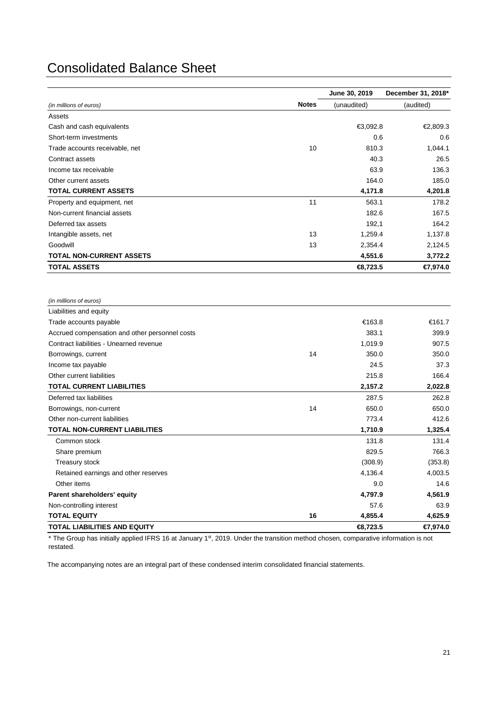### <span id="page-21-0"></span>Consolidated Balance Sheet

|                                                                       |              | June 30, 2019                | December 31, 2018*  |
|-----------------------------------------------------------------------|--------------|------------------------------|---------------------|
| (in millions of euros)                                                | <b>Notes</b> | (unaudited)                  | (audited)           |
| Assets                                                                |              |                              |                     |
| Cash and cash equivalents                                             |              | €3,092.8                     | €2,809.3            |
| Short-term investments                                                |              | 0.6                          | 0.6                 |
| Trade accounts receivable, net                                        | 10           | 810.3                        | 1,044.1             |
| Contract assets                                                       |              | 40.3                         | 26.5                |
| Income tax receivable                                                 |              | 63.9                         | 136.3               |
| Other current assets                                                  |              | 164.0                        | 185.0               |
| <b>TOTAL CURRENT ASSETS</b>                                           |              | 4,171.8                      | 4,201.8             |
| Property and equipment, net                                           | 11           | 563.1                        | 178.2               |
| Non-current financial assets                                          |              | 182.6                        | 167.5               |
| Deferred tax assets                                                   |              | 192,1                        | 164.2               |
| Intangible assets, net                                                | 13           | 1,259.4                      | 1,137.8             |
| Goodwill                                                              | 13           | 2,354.4                      | 2,124.5             |
| <b>TOTAL NON-CURRENT ASSETS</b>                                       |              | 4,551.6                      | 3,772.2             |
| <b>TOTAL ASSETS</b>                                                   |              | $\bigoplus$ ,723.5           | €7,974.0            |
|                                                                       |              |                              |                     |
| (in millions of euros)                                                |              |                              |                     |
| Liabilities and equity                                                |              |                              | €161.7              |
| Trade accounts payable                                                |              | €163.8<br>383.1              | 399.9               |
| Accrued compensation and other personnel costs                        |              |                              |                     |
| Contract liabilities - Unearned revenue                               | 14           | 1,019.9<br>350.0             | 907.5               |
| Borrowings, current                                                   |              |                              | 350.0               |
| Income tax payable                                                    |              | 24.5                         | 37.3                |
| Other current liabilities<br><b>TOTAL CURRENT LIABILITIES</b>         |              | 215.8                        | 166.4               |
|                                                                       |              | 2,157.2                      | 2,022.8             |
| Deferred tax liabilities                                              |              | 287.5                        | 262.8               |
| Borrowings, non-current                                               | 14           | 650.0                        | 650.0<br>412.6      |
| Other non-current liabilities<br><b>TOTAL NON-CURRENT LIABILITIES</b> |              | 773.4<br>1,710.9             |                     |
| Common stock                                                          |              | 131.8                        | 1,325.4<br>131.4    |
|                                                                       |              | 829.5                        | 766.3               |
| Share premium<br>Treasury stock                                       |              |                              | (353.8)             |
|                                                                       |              | (308.9)                      |                     |
| Retained earnings and other reserves<br>Other items                   |              | 4,136.4<br>9.0               | 4,003.5<br>14.6     |
|                                                                       |              |                              |                     |
| Parent shareholders' equity                                           |              | 4,797.9                      | 4,561.9             |
| Non-controlling interest<br><b>TOTAL EQUITY</b>                       | 16           | 57.6                         | 63.9                |
| TOTAL LIABILITIES AND EQUITY                                          |              | 4,855.4<br>$\bigoplus,723.5$ | 4,625.9<br>€7,974.0 |
|                                                                       |              |                              |                     |

\* The Group has initially applied IFRS 16 at January 1<sup>st</sup>, 2019. Under the transition method chosen, comparative information is not restated.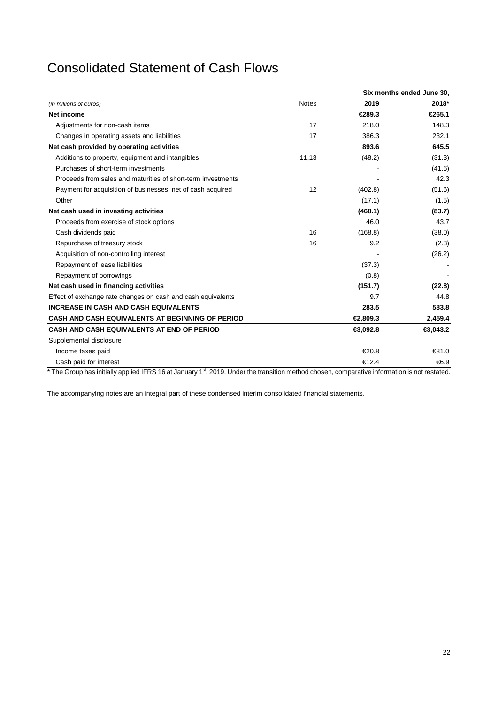### <span id="page-22-0"></span>Consolidated Statement of Cash Flows

|                                                              |                   | Six months ended June 30, |                |  |
|--------------------------------------------------------------|-------------------|---------------------------|----------------|--|
| (in millions of euros)                                       | <b>Notes</b>      | 2019                      | 2018*          |  |
| Net income                                                   |                   | €289.3                    | €265.1         |  |
| Adjustments for non-cash items                               | 17                | 218.0                     | 148.3          |  |
| Changes in operating assets and liabilities                  | 17                | 386.3                     | 232.1          |  |
| Net cash provided by operating activities                    |                   | 893.6                     | 645.5          |  |
| Additions to property, equipment and intangibles             | 11,13             | (48.2)                    | (31.3)         |  |
| Purchases of short-term investments                          |                   |                           | (41.6)         |  |
| Proceeds from sales and maturities of short-term investments |                   |                           | 42.3           |  |
| Payment for acquisition of businesses, net of cash acquired  | $12 \overline{ }$ | (402.8)                   | (51.6)         |  |
| Other                                                        |                   | (17.1)                    | (1.5)          |  |
| Net cash used in investing activities                        |                   | (468.1)                   | (83.7)         |  |
| Proceeds from exercise of stock options                      |                   | 46.0                      | 43.7           |  |
| Cash dividends paid                                          | 16                | (168.8)                   | (38.0)         |  |
| Repurchase of treasury stock                                 | 16                | 9.2                       | (2.3)          |  |
| Acquisition of non-controlling interest                      |                   |                           | (26.2)         |  |
| Repayment of lease liabilities                               |                   | (37.3)                    |                |  |
| Repayment of borrowings                                      |                   | (0.8)                     |                |  |
| Net cash used in financing activities                        |                   | (151.7)                   | (22.8)         |  |
| Effect of exchange rate changes on cash and cash equivalents |                   | 9.7                       | 44.8           |  |
| <b>INCREASE IN CASH AND CASH EQUIVALENTS</b>                 |                   | 283.5                     | 583.8          |  |
| CASH AND CASH EQUIVALENTS AT BEGINNING OF PERIOD             |                   | €2,809.3                  | 2,459.4        |  |
| CASH AND CASH EQUIVALENTS AT END OF PERIOD                   |                   | €3,092.8                  | €3,043.2       |  |
| Supplemental disclosure                                      |                   |                           |                |  |
| Income taxes paid                                            |                   | €20.8                     | €81.0          |  |
| Cash paid for interest                                       |                   | €12.4                     | $\bigoplus$ .9 |  |

\* The Group has initially applied IFRS 16 at January 1<sup>st</sup>, 2019. Under the transition method chosen, comparative information is not restated.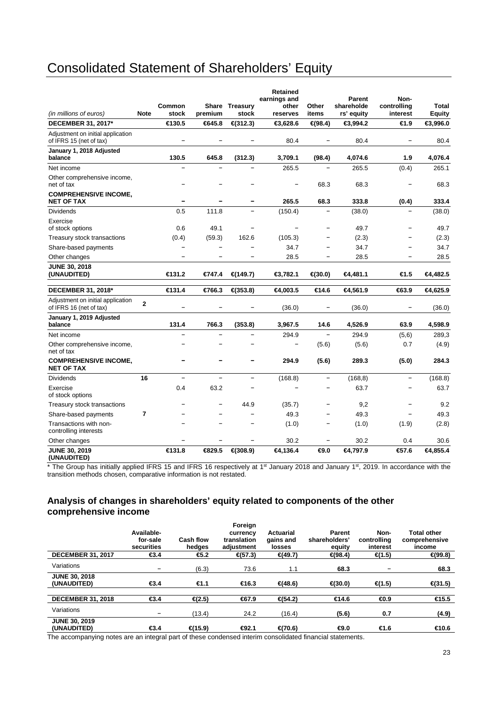### <span id="page-23-0"></span>Consolidated Statement of Shareholders' Equity

|                                                              |                |                          |                          |                                  | <b>Retained</b><br>earnings and |                          | Parent     | Non-                     |                      |
|--------------------------------------------------------------|----------------|--------------------------|--------------------------|----------------------------------|---------------------------------|--------------------------|------------|--------------------------|----------------------|
|                                                              |                | Common                   |                          | Share Treasury                   | other                           | Other                    | shareholde | controlling              | <b>Total</b>         |
| (in millions of euros)                                       | <b>Note</b>    | stock                    | premium                  | stock                            | reserves                        | items                    | rs' equity | interest                 | <b>Equity</b>        |
| <b>DECEMBER 31, 2017*</b>                                    |                | €130.5                   | €645.8                   | € $(312.3)$                      | €3,628.6                        | €(98.4)                  | €3,994.2   | €1.9                     | €3,996.0             |
| Adjustment on initial application<br>of IFRS 15 (net of tax) |                |                          |                          |                                  | 80.4                            |                          | 80.4       |                          | 80.4                 |
| January 1, 2018 Adjusted<br>balance                          |                | 130.5                    | 645.8                    | (312.3)                          | 3,709.1                         | (98.4)                   | 4,074.6    | 1.9                      | 4,076.4              |
| Net income                                                   |                | $\overline{a}$           | $\overline{\phantom{0}}$ | $\overline{\phantom{0}}$         | 265.5                           | $\overline{\phantom{0}}$ | 265.5      | (0.4)                    | 265.1                |
| Other comprehensive income,<br>net of tax                    |                |                          |                          |                                  | -                               | 68.3                     | 68.3       | $\qquad \qquad -$        | 68.3                 |
| <b>COMPREHENSIVE INCOME,</b><br><b>NET OF TAX</b>            |                | $\overline{\phantom{0}}$ | -                        | $\overline{\phantom{0}}$         | 265.5                           | 68.3                     | 333.8      | (0.4)                    | 333.4                |
| <b>Dividends</b>                                             |                | 0.5                      | 111.8                    |                                  | (150.4)                         |                          | (38.0)     |                          | (38.0)               |
| Exercise<br>of stock options                                 |                | 0.6                      | 49.1                     |                                  |                                 |                          | 49.7       | -                        | 49.7                 |
| Treasury stock transactions                                  |                | (0.4)                    | (59.3)                   | 162.6                            | (105.3)                         |                          | (2.3)      |                          | (2.3)                |
| Share-based payments                                         |                |                          |                          |                                  | 34.7                            |                          | 34.7       |                          | 34.7                 |
| Other changes                                                |                | $\overline{\phantom{0}}$ | $\overline{\phantom{0}}$ |                                  | 28.5                            | $\overline{a}$           | 28.5       |                          | 28.5                 |
| <b>JUNE 30, 2018</b><br>(UNAUDITED)                          |                | €131.2                   | €747.4                   | <del><math>€(149.7)</math></del> | €3,782.1                        | $\triangleleft$ 30.0)    | €4,481.1   | €1.5                     | <del>€</del> 4,482.5 |
| <b>DECEMBER 31, 2018*</b>                                    |                | €131.4                   | €766.3                   | € $(353.8)$                      | €4,003.5                        | €14.6                    | €4,561.9   | 63.9                     | €4,625.9             |
| Adjustment on initial application<br>of IFRS 16 (net of tax) | $\overline{2}$ |                          |                          |                                  | (36.0)                          |                          | (36.0)     |                          | (36.0)               |
| January 1, 2019 Adjusted<br>balance                          |                | 131.4                    | 766.3                    | (353.8)                          | 3,967.5                         | 14.6                     | 4,526.9    | 63.9                     | 4,598.9              |
| Net income                                                   |                |                          |                          |                                  | 294.9                           |                          | 294.9      | (5,6)                    | 289,3                |
| Other comprehensive income,<br>net of tax                    |                |                          |                          |                                  |                                 | (5.6)                    | (5.6)      | 0.7                      | (4.9)                |
| <b>COMPREHENSIVE INCOME,</b><br><b>NET OF TAX</b>            |                |                          |                          |                                  | 294.9                           | (5.6)                    | 289.3      | (5.0)                    | 284.3                |
| <b>Dividends</b>                                             | 16             | $\overline{\phantom{0}}$ | $\overline{a}$           | $\overline{\phantom{0}}$         | (168.8)                         | $\overline{a}$           | (168, 8)   | $\overline{\phantom{0}}$ | (168.8)              |
| Exercise<br>of stock options                                 |                | 0.4                      | 63.2                     |                                  |                                 |                          | 63.7       |                          | 63.7                 |
| Treasury stock transactions                                  |                |                          | -                        | 44.9                             | (35.7)                          |                          | 9,2        |                          | 9.2                  |
| Share-based payments                                         | 7              |                          |                          |                                  | 49.3                            |                          | 49.3       |                          | 49.3                 |
| Transactions with non-<br>controlling interests              |                |                          |                          |                                  | (1.0)                           |                          | (1.0)      | (1.9)                    | (2.8)                |
| Other changes                                                |                |                          |                          |                                  | 30.2                            | $\overline{\phantom{0}}$ | 30.2       | 0.4                      | 30.6                 |
| <b>JUNE 30, 2019</b><br>(UNAUDITED)                          |                | €131.8                   | €829.5                   | € $(308.9)$                      | €4,136.4                        | $\bigoplus.0$            | €4,797.9   | €57.6                    | 64,855.4             |

\* The Group has initially applied IFRS 15 and IFRS 16 respectively at 1st January 2018 and January 1st, 2019. In accordance with the transition methods chosen, comparative information is not restated.

#### **Analysis of changes in shareholders' equity related to components of the other comprehensive income**

|                                     | Available-<br>for-sale<br>securities | Cash flow<br>hedges             | Foreign<br>currency<br>translation<br>adiustment | <b>Actuarial</b><br>gains and<br>losses | Parent<br>shareholders'<br>equity | Non-<br>controlling<br>interest | <b>Total other</b><br>comprehensive<br>income |
|-------------------------------------|--------------------------------------|---------------------------------|--------------------------------------------------|-----------------------------------------|-----------------------------------|---------------------------------|-----------------------------------------------|
| <b>DECEMBER 31, 2017</b>            | ⊕ $\epsilon$ 3.4                     | $\epsilon$ 5.2                  | $\epsilon$ (57.3)                                | (49.7)                                  | $\triangleleft$ (98.4)            | <del><math>(1.5)</math></del>   | <del><math>€(99.8)</math></del>               |
| Variations                          | -                                    | (6.3)                           | 73.6                                             | 1.1                                     | 68.3                              |                                 | 68.3                                          |
| <b>JUNE 30, 2018</b><br>(UNAUDITED) | €3.4                                 | et.1                            | $\epsilon$ 16.3                                  | (48.6)                                  | <del><math>€(30.0)</math></del>   | <del><math>(1.5)</math></del>   | <del><math>\epsilon</math>(</del> 31.5)       |
|                                     |                                      |                                 |                                                  |                                         |                                   |                                 |                                               |
| <b>DECEMBER 31, 2018</b>            | €3.4                                 | <del><math>(2.5)</math></del>   | €67.9                                            | $\triangleleft 54.2)$                   | €14.6                             | $\bigoplus$ .9                  | €15.5                                         |
| Variations                          | $\overline{\phantom{0}}$             | (13.4)                          | 24.2                                             | (16.4)                                  | (5.6)                             | 0.7                             | (4.9)                                         |
| <b>JUNE 30, 2019</b><br>(UNAUDITED) | ⊕ $\epsilon$ 3.4                     | <del><math>€(15.9)</math></del> | $-22.1$                                          | $\blacktriangleleft$ 70.6)              | $\bigoplus$                       | €1.6                            | ∈10.6                                         |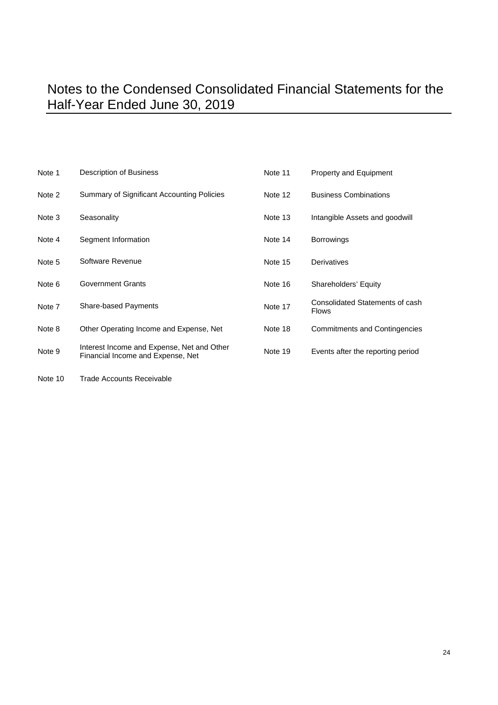### <span id="page-24-0"></span>Notes to the Condensed Consolidated Financial Statements for the Half-Year Ended June 30, 2019

| Note 1 | Description of Business                                                         | Note 11 | Property and Equipment                          |
|--------|---------------------------------------------------------------------------------|---------|-------------------------------------------------|
| Note 2 | Summary of Significant Accounting Policies                                      | Note 12 | <b>Business Combinations</b>                    |
| Note 3 | Seasonality                                                                     | Note 13 | Intangible Assets and goodwill                  |
| Note 4 | Segment Information                                                             | Note 14 | <b>Borrowings</b>                               |
| Note 5 | Software Revenue                                                                | Note 15 | Derivatives                                     |
| Note 6 | <b>Government Grants</b>                                                        | Note 16 | Shareholders' Equity                            |
| Note 7 | <b>Share-based Payments</b>                                                     | Note 17 | Consolidated Statements of cash<br><b>Flows</b> |
| Note 8 | Other Operating Income and Expense, Net                                         | Note 18 | <b>Commitments and Contingencies</b>            |
| Note 9 | Interest Income and Expense, Net and Other<br>Financial Income and Expense, Net | Note 19 | Events after the reporting period               |
|        |                                                                                 |         |                                                 |

Note 10 Trade Accounts Receivable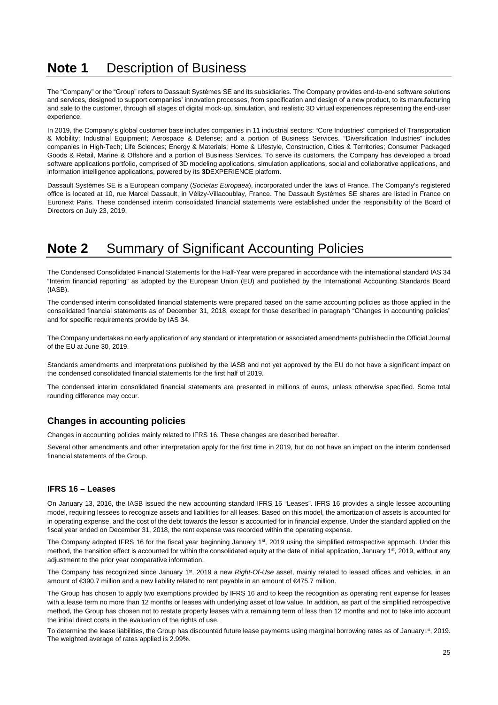### <span id="page-25-0"></span>**Note 1** Description of Business

The "Company" or the "Group" refers to Dassault Systèmes SE and its subsidiaries. The Company provides end-to-end software solutions and services, designed to support companies' innovation processes, from specification and design of a new product, to its manufacturing and sale to the customer, through all stages of digital mock-up, simulation, and realistic 3D virtual experiences representing the end-user experience.

In 2019, the Company's global customer base includes companies in 11 industrial sectors: "Core Industries" comprised of Transportation & Mobility; Industrial Equipment; Aerospace & Defense; and a portion of Business Services. "Diversification Industries" includes companies in High-Tech; Life Sciences; Energy & Materials; Home & Lifestyle, Construction, Cities & Territories; Consumer Packaged Goods & Retail, Marine & Offshore and a portion of Business Services. To serve its customers, the Company has developed a broad software applications portfolio, comprised of 3D modeling applications, simulation applications, social and collaborative applications, and information intelligence applications, powered by its **3D**EXPERIENCE platform.

Dassault Systèmes SE is a European company (*Societas Europaea*), incorporated under the laws of France. The Company's registered office is located at 10, rue Marcel Dassault, in Vélizy-Villacoublay, France. The Dassault Systèmes SE shares are listed in France on Euronext Paris. These condensed interim consolidated financial statements were established under the responsibility of the Board of Directors on July 23, 2019.

### <span id="page-25-1"></span>**Note 2** Summary of Significant Accounting Policies

The Condensed Consolidated Financial Statements for the Half-Year were prepared in accordance with the international standard IAS 34 "Interim financial reporting" as adopted by the European Union (EU) and published by the International Accounting Standards Board (IASB).

The condensed interim consolidated financial statements were prepared based on the same accounting policies as those applied in the consolidated financial statements as of December 31, 2018, except for those described in paragraph "Changes in accounting policies" and for specific requirements provide by IAS 34.

The Company undertakes no early application of any standard or interpretation or associated amendments published in the Official Journal of the EU at June 30, 2019.

Standards amendments and interpretations published by the IASB and not yet approved by the EU do not have a significant impact on the condensed consolidated financial statements for the first half of 2019.

The condensed interim consolidated financial statements are presented in millions of euros, unless otherwise specified. Some total rounding difference may occur.

#### **Changes in accounting policies**

Changes in accounting policies mainly related to IFRS 16. These changes are described hereafter.

Several other amendments and other interpretation apply for the first time in 2019, but do not have an impact on the interim condensed financial statements of the Group.

#### **IFRS 16 – Leases**

On January 13, 2016, the IASB issued the new accounting standard IFRS 16 "Leases". IFRS 16 provides a single lessee accounting model, requiring lessees to recognize assets and liabilities for all leases. Based on this model, the amortization of assets is accounted for in operating expense, and the cost of the debt towards the lessor is accounted for in financial expense. Under the standard applied on the fiscal year ended on December 31, 2018, the rent expense was recorded within the operating expense.

The Company adopted IFRS 16 for the fiscal year beginning January 1<sup>st</sup>, 2019 using the simplified retrospective approach. Under this method, the transition effect is accounted for within the consolidated equity at the date of initial application, January 1<sup>st</sup>, 2019, without any adjustment to the prior year comparative information.

The Company has recognized since January 1st, 2019 a new *Right-Of-Use* asset, mainly related to leased offices and vehicles, in an amount of €390.7 million and a new liability related to rent payable in an amount of €475.7 million.

The Group has chosen to apply two exemptions provided by IFRS 16 and to keep the recognition as operating rent expense for leases with a lease term no more than 12 months or leases with underlying asset of low value. In addition, as part of the simplified retrospective method, the Group has chosen not to restate property leases with a remaining term of less than 12 months and not to take into account the initial direct costs in the evaluation of the rights of use.

To determine the lease liabilities, the Group has discounted future lease payments using marginal borrowing rates as of January1<sup>st</sup>, 2019. The weighted average of rates applied is 2.99%.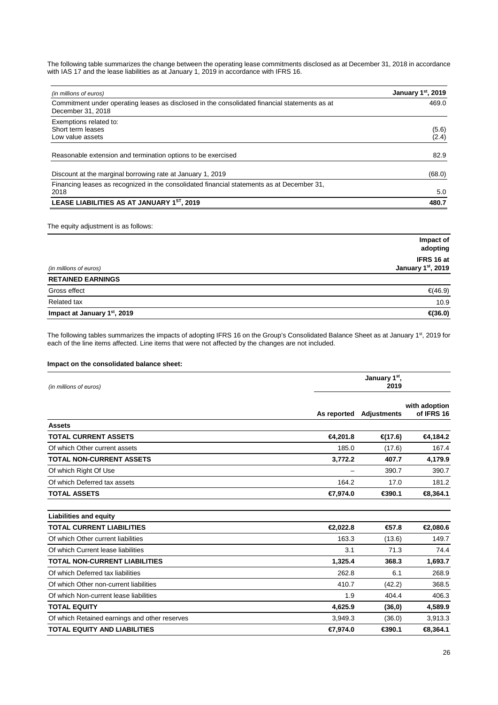The following table summarizes the change between the operating lease commitments disclosed as at December 31, 2018 in accordance with IAS 17 and the lease liabilities as at January 1, 2019 in accordance with IFRS 16.

| (in millions of euros)                                                                                             | January 1 <sup>st</sup> , 2019 |
|--------------------------------------------------------------------------------------------------------------------|--------------------------------|
| Commitment under operating leases as disclosed in the consolidated financial statements as at<br>December 31, 2018 | 469.0                          |
| Exemptions related to:<br>Short term leases<br>Low value assets                                                    | (5.6)<br>(2.4)                 |
| Reasonable extension and termination options to be exercised                                                       | 82.9                           |
| Discount at the marginal borrowing rate at January 1, 2019                                                         | (68.0)                         |
| Financing leases as recognized in the consolidated financial statements as at December 31,<br>2018                 | 5.0                            |
| LEASE LIABILITIES AS AT JANUARY 1ST, 2019                                                                          | 480.7                          |

#### The equity adjustment is as follows:

|                                          | Impact of<br>adopting           |
|------------------------------------------|---------------------------------|
| (in millions of euros)                   | IFRS 16 at<br>January 1st, 2019 |
| <b>RETAINED EARNINGS</b>                 |                                 |
| Gross effect                             | €(46.9)                         |
| <b>Related tax</b>                       | 10.9                            |
| Impact at January 1 <sup>st</sup> , 2019 | $\big( = 36.0 \big)$            |

The following tables summarizes the impacts of adopting IFRS 16 on the Group's Consolidated Balance Sheet as at January 1<sup>st</sup>, 2019 for each of the line items affected. Line items that were not affected by the changes are not included.

#### **Impact on the consolidated balance sheet:**

| (in millions of euros)                        |          | January 1 <sup>st</sup> ,<br>2019 |                             |
|-----------------------------------------------|----------|-----------------------------------|-----------------------------|
|                                               |          | As reported Adjustments           | with adoption<br>of IFRS 16 |
| <b>Assets</b>                                 |          |                                   |                             |
| <b>TOTAL CURRENT ASSETS</b>                   | 64.201.8 | <del><math>€(17.6)</math></del>   | <del>€</del> 4,184.2        |
| Of which Other current assets                 | 185.0    | (17.6)                            | 167.4                       |
| <b>TOTAL NON-CURRENT ASSETS</b>               | 3,772.2  | 407.7                             | 4,179.9                     |
| Of which Right Of Use                         |          | 390.7                             | 390.7                       |
| Of which Deferred tax assets                  | 164.2    | 17.0                              | 181.2                       |
| <b>TOTAL ASSETS</b>                           | €7,974.0 | €390.1                            | $-8,364.1$                  |
| <b>Liabilities and equity</b>                 |          |                                   |                             |
| <b>TOTAL CURRENT LIABILITIES</b>              | €2,022.8 | €57.8                             | €2,080.6                    |
| Of which Other current liabilities            | 163.3    | (13.6)                            | 149.7                       |
| Of which Current lease liabilities            | 3.1      | 71.3                              | 74.4                        |
| <b>TOTAL NON-CURRENT LIABILITIES</b>          | 1,325.4  | 368.3                             | 1,693.7                     |
| Of which Deferred tax liabilities             | 262.8    | 6.1                               | 268.9                       |
| Of which Other non-current liabilities        | 410.7    | (42.2)                            | 368.5                       |
| Of which Non-current lease liabilities        | 1.9      | 404.4                             | 406.3                       |
| <b>TOTAL EQUITY</b>                           | 4,625.9  | (36, 0)                           | 4,589.9                     |
| Of which Retained earnings and other reserves | 3,949.3  | (36.0)                            | 3,913.3                     |
| <b>TOTAL EQUITY AND LIABILITIES</b>           | €7,974.0 | €390.1                            | $-8,364.1$                  |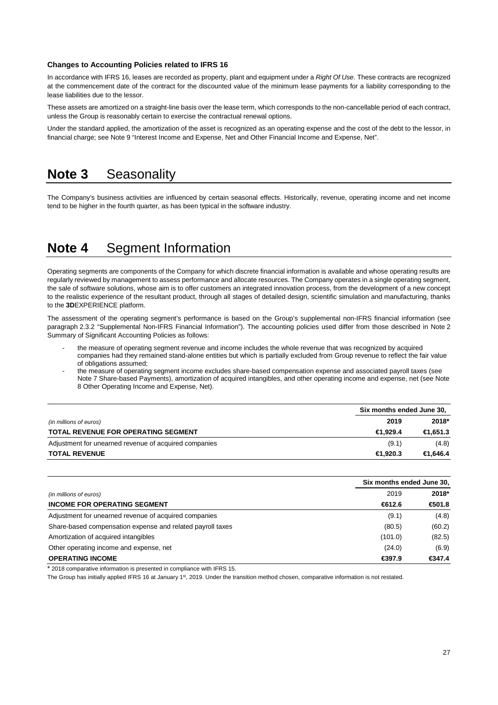#### **Changes to Accounting Policies related to IFRS 16**

In accordance with IFRS 16, leases are recorded as property, plant and equipment under a *Right Of Use*. These contracts are recognized at the commencement date of the contract for the discounted value of the minimum lease payments for a liability corresponding to the lease liabilities due to the lessor.

These assets are amortized on a straight-line basis over the lease term, which corresponds to the non-cancellable period of each contract, unless the Group is reasonably certain to exercise the contractual renewal options.

Under the standard applied, the amortization of the asset is recognized as an operating expense and the cost of the debt to the lessor, in financial charge; see Note 9 "Interest Income and Expense, Net and Other Financial Income and Expense, Net".

#### <span id="page-27-0"></span>**Note 3** Seasonality

The Company's business activities are influenced by certain seasonal effects. Historically, revenue, operating income and net income tend to be higher in the fourth quarter, as has been typical in the software industry.

### <span id="page-27-1"></span>**Note 4** Segment Information

Operating segments are components of the Company for which discrete financial information is available and whose operating results are regularly reviewed by management to assess performance and allocate resources. The Company operates in a single operating segment, the sale of software solutions, whose aim is to offer customers an integrated innovation process, from the development of a new concept to the realistic experience of the resultant product, through all stages of detailed design, scientific simulation and manufacturing, thanks to the **3D**EXPERIENCE platform.

The assessment of the operating segment's performance is based on the Group's supplemental non-IFRS financial information (see paragraph 2.3.2 "Supplemental Non-IFRS Financial Information"). The accounting policies used differ from those described in Note 2 Summary of Significant Accounting Policies as follows:

- the measure of operating segment revenue and income includes the whole revenue that was recognized by acquired companies had they remained stand-alone entities but which is partially excluded from Group revenue to reflect the fair value of obligations assumed;
- the measure of operating segment income excludes share-based compensation expense and associated payroll taxes (see Note 7 Share-based Payments), amortization of acquired intangibles, and other operating income and expense, net (see Note 8 Other Operating Income and Expense, Net).

|                                                       | Six months ended June 30, |                      |
|-------------------------------------------------------|---------------------------|----------------------|
| (in millions of euros)                                | 2019                      | $2018*$              |
| <b>TOTAL REVENUE FOR OPERATING SEGMENT</b>            | <del>∈</del> 1.929.4      | <del>∈</del> 1,651.3 |
| Adjustment for unearned revenue of acquired companies | (9.1)                     | (4.8)                |
| <b>TOTAL REVENUE</b>                                  | <del>∈</del> 1.920.3      | €1.646.4             |

|                                                            | Six months ended June 30, |        |
|------------------------------------------------------------|---------------------------|--------|
| (in millions of euros)                                     | 2019                      | 2018*  |
| <b>INCOME FOR OPERATING SEGMENT</b>                        | €612.6                    | ⊕501.8 |
| Adjustment for unearned revenue of acquired companies      | (9.1)                     | (4.8)  |
| Share-based compensation expense and related payroll taxes | (80.5)                    | (60.2) |
| Amortization of acquired intangibles                       | (101.0)                   | (82.5) |
| Other operating income and expense, net                    | (24.0)                    | (6.9)  |
| <b>OPERATING INCOME</b>                                    | €397.9                    | €347.4 |

\* 2018 comparative information is presented in compliance with IFRS 15.

The Group has initially applied IFRS 16 at January 1<sup>st</sup>, 2019. Under the transition method chosen, comparative information is not restated.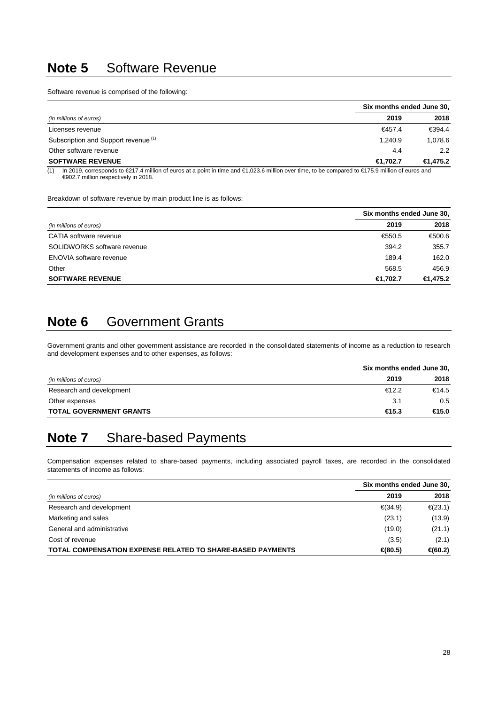### <span id="page-28-0"></span>**Note 5** Software Revenue

Software revenue is comprised of the following:

|                                                                                                                                                         | Six months ended June 30, |          |
|---------------------------------------------------------------------------------------------------------------------------------------------------------|---------------------------|----------|
| (in millions of euros)                                                                                                                                  | 2019                      | 2018     |
| Licenses revenue                                                                                                                                        | €457.4                    | €394.4   |
| Subscription and Support revenue (1)                                                                                                                    | 1.240.9                   | 1.078.6  |
| Other software revenue                                                                                                                                  | 4.4                       | 2.2      |
| <b>SOFTWARE REVENUE</b>                                                                                                                                 | €1.702.7                  | €1,475.2 |
| In 2019, corresponds to €217.4 million of euros at a point in time and €1,023.6 million over time, to be compared to €175.9 million of euros and<br>(1) |                           |          |

€902.7 million respectively in 2018.

Breakdown of software revenue by main product line is as follows:

|                                | Six months ended June 30, |          |
|--------------------------------|---------------------------|----------|
| (in millions of euros)         | 2019                      | 2018     |
| CATIA software revenue         | €550.5                    | €500.6   |
| SOLIDWORKS software revenue    | 394.2                     | 355.7    |
| <b>ENOVIA</b> software revenue | 189.4                     | 162.0    |
| Other                          | 568.5                     | 456.9    |
| <b>SOFTWARE REVENUE</b>        | €1.702.7                  | €1.475.2 |

### <span id="page-28-1"></span>**Note 6** Government Grants

Government grants and other government assistance are recorded in the consolidated statements of income as a reduction to research and development expenses and to other expenses, as follows:

|                                | Six months ended June 30, |       |  |
|--------------------------------|---------------------------|-------|--|
| (in millions of euros)         | 2019                      | 2018  |  |
| Research and development       | €12.2                     | €14.5 |  |
| Other expenses                 | 3.1                       | 0.5   |  |
| <b>TOTAL GOVERNMENT GRANTS</b> | $\epsilon$ 15.3           | ∈15.0 |  |

### <span id="page-28-2"></span>**Note 7** Share-based Payments

Compensation expenses related to share-based payments, including associated payroll taxes, are recorded in the consolidated statements of income as follows:

|                                                            | Six months ended June 30,       |                                  |
|------------------------------------------------------------|---------------------------------|----------------------------------|
| (in millions of euros)                                     | 2019                            | 2018                             |
| Research and development                                   | €(34.9)                         | € $(23.1)$                       |
| Marketing and sales                                        | (23.1)                          | (13.9)                           |
| General and administrative                                 | (19.0)                          | (21.1)                           |
| Cost of revenue                                            | (3.5)                           | (2.1)                            |
| TOTAL COMPENSATION EXPENSE RELATED TO SHARE-BASED PAYMENTS | <del><math>€(80.5)</math></del> | <del><math>€</math>(</del> 60.2) |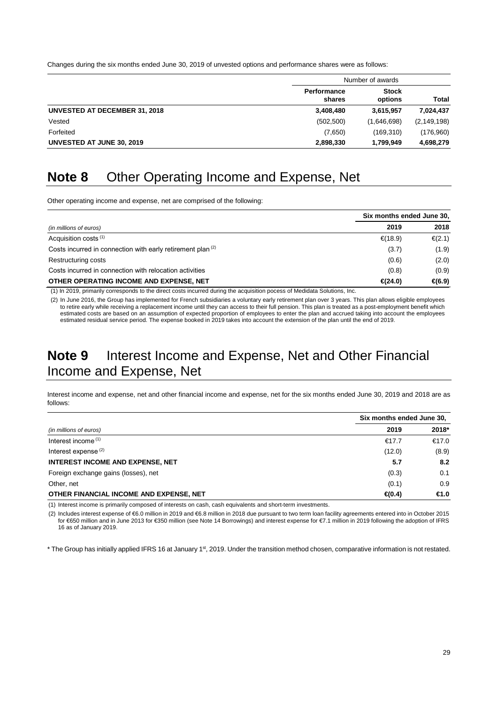Changes during the six months ended June 30, 2019 of unvested options and performance shares were as follows:

|                                  | Number of awards      |                         |               |
|----------------------------------|-----------------------|-------------------------|---------------|
|                                  | Performance<br>shares | <b>Stock</b><br>options | Total         |
| UNVESTED AT DECEMBER 31, 2018    | 3,408,480             | 3,615,957               | 7,024,437     |
| Vested                           | (502, 500)            | (1,646,698)             | (2, 149, 198) |
| Forfeited                        | (7,650)               | (169, 310)              | (176,960)     |
| <b>UNVESTED AT JUNE 30, 2019</b> | 2,898,330             | 1,799,949               | 4,698,279     |

### <span id="page-29-0"></span>**Note 8** Other Operating Income and Expense, Net

Other operating income and expense, net are comprised of the following:

|                                                                        | Six months ended June 30,       |                                        |
|------------------------------------------------------------------------|---------------------------------|----------------------------------------|
| (in millions of euros)                                                 | 2019                            | 2018                                   |
| Acquisition costs <sup>(1)</sup>                                       | €(18.9)                         | € $(2.1)$                              |
| Costs incurred in connection with early retirement plan <sup>(2)</sup> | (3.7)                           | (1.9)                                  |
| Restructuring costs                                                    | (0.6)                           | (2.0)                                  |
| Costs incurred in connection with relocation activities                | (0.8)                           | (0.9)                                  |
| OTHER OPERATING INCOME AND EXPENSE. NET                                | <del><math>€(24.0)</math></del> | <del><math>\epsilon</math>(</del> 6.9) |

(1) In 2019, primarily corresponds to the direct costs incurred during the acquisition pocess of Medidata Solutions, Inc.

(2) In June 2016, the Group has implemented for French subsidiaries a voluntary early retirement plan over 3 years. This plan allows eligible employees to retire early while receiving a replacement income until they can access to their full pension. This plan is treated as a post-employment benefit which estimated costs are based on an assumption of expected proportion of employees to enter the plan and accrued taking into account the employees estimated residual service period. The expense booked in 2019 takes into account the extension of the plan until the end of 2019.

### <span id="page-29-1"></span>**Note 9** Interest Income and Expense, Net and Other Financial Income and Expense, Net

Interest income and expense, net and other financial income and expense, net for the six months ended June 30, 2019 and 2018 are as follows:

|                                         | Six months ended June 30, |                |  |
|-----------------------------------------|---------------------------|----------------|--|
| (in millions of euros)                  | 2019                      | 2018*          |  |
| Interest income $(1)$                   | €17.7                     | €17.0          |  |
| Interest expense <sup>(2)</sup>         | (12.0)                    | (8.9)          |  |
| <b>INTEREST INCOME AND EXPENSE, NET</b> | 5.7                       | 8.2            |  |
| Foreign exchange gains (losses), net    | (0.3)                     | 0.1            |  |
| Other, net                              | (0.1)                     | 0.9            |  |
| OTHER FINANCIAL INCOME AND EXPENSE, NET | $\triangleleft$ (0.4)     | $\epsilon$ 1.0 |  |

(1) Interest income is primarily composed of interests on cash, cash equivalents and short-term investments.

(2) Includes interest expense of €6.0 million in 2019 and €6.8 million in 2018 due pursuant to two term loan facility agreements entered into in October 2015 for €650 million and in June 2013 for €350 million (see Note 14 Borrowings) and interest expense for €7.1 million in 2019 following the adoption of IFRS 16 as of January 2019.

\* The Group has initially applied IFRS 16 at January 1<sup>st</sup>, 2019. Under the transition method chosen, comparative information is not restated.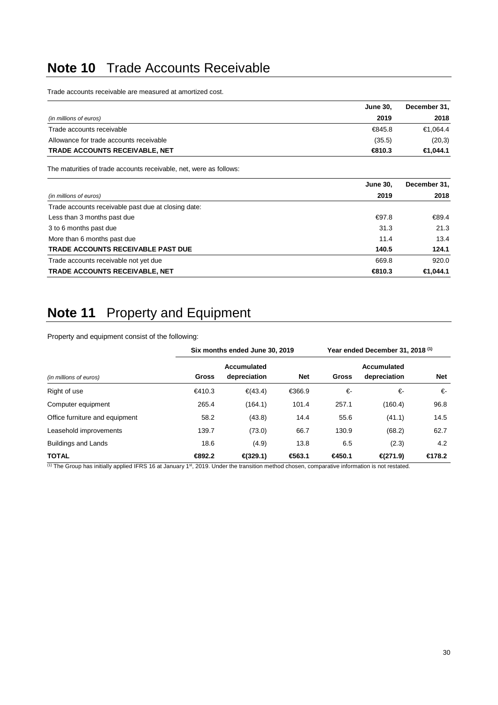### <span id="page-30-0"></span>**Note 10** Trade Accounts Receivable

Trade accounts receivable are measured at amortized cost.

| <b>June 30.</b> | December 31, |
|-----------------|--------------|
| 2019            | 2018         |
| €845.8          | €1,064.4     |
| (35.5)          | (20,3)       |
| $-310.3$        | €1,044.1     |
|                 |              |

The maturities of trade accounts receivable, net, were as follows:

|                                                     | <b>June 30.</b> | December 31, |
|-----------------------------------------------------|-----------------|--------------|
| (in millions of euros)                              | 2019            | 2018         |
| Trade accounts receivable past due at closing date: |                 |              |
| Less than 3 months past due                         | €97.8           | €89.4        |
| 3 to 6 months past due                              | 31.3            | 21.3         |
| More than 6 months past due                         | 11.4            | 13.4         |
| <b>TRADE ACCOUNTS RECEIVABLE PAST DUE</b>           | 140.5           | 124.1        |
| Trade accounts receivable not yet due               | 669.8           | 920.0        |
| <b>TRADE ACCOUNTS RECEIVABLE, NET</b>               | $-310.3$        | €1,044.1     |

### <span id="page-30-1"></span>**Note 11** Property and Equipment

Property and equipment consist of the following:

|                                |              | Six months ended June 30, 2019 |            |              | Year ended December 31, 2018 <sup>(1)</sup> |            |  |
|--------------------------------|--------------|--------------------------------|------------|--------------|---------------------------------------------|------------|--|
|                                |              | Accumulated                    |            |              | Accumulated                                 |            |  |
| (in millions of euros)         | <b>Gross</b> | depreciation                   | <b>Net</b> | <b>Gross</b> | depreciation                                | <b>Net</b> |  |
| Right of use                   | €410.3       | €(43.4)                        | €366.9     | €            | €                                           | €          |  |
| Computer equipment             | 265.4        | (164.1)                        | 101.4      | 257.1        | (160.4)                                     | 96.8       |  |
| Office furniture and equipment | 58.2         | (43.8)                         | 14.4       | 55.6         | (41.1)                                      | 14.5       |  |
| Leasehold improvements         | 139.7        | (73.0)                         | 66.7       | 130.9        | (68.2)                                      | 62.7       |  |
| <b>Buildings and Lands</b>     | 18.6         | (4.9)                          | 13.8       | 6.5          | (2.3)                                       | 4.2        |  |
| <b>TOTAL</b>                   | €892.2       | (329.1)                        | €63.1      | €450.1       | <del><math>€(271.9)</math></del>            | €178.2     |  |

(1) The Group has initially applied IFRS 16 at January 1st, 2019. Under the transition method chosen, comparative information is not restated.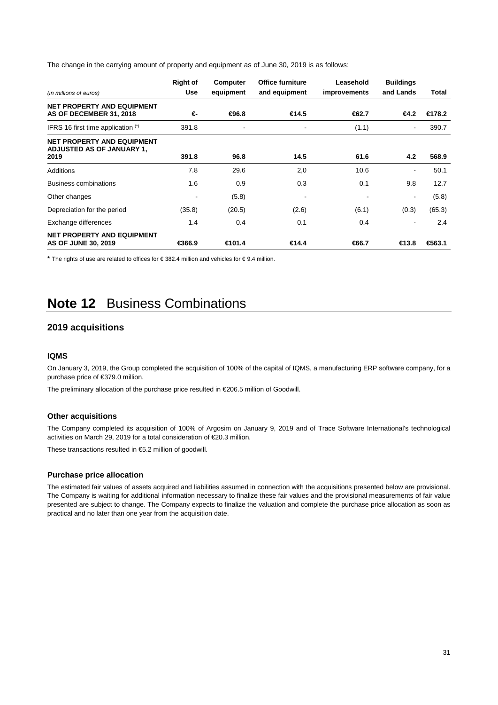The change in the carrying amount of property and equipment as of June 30, 2019 is as follows:

|                                                                               | <b>Right of</b> | Computer        | <b>Office furniture</b> | Leasehold           | <b>Buildings</b> |        |
|-------------------------------------------------------------------------------|-----------------|-----------------|-------------------------|---------------------|------------------|--------|
| (in millions of euros)                                                        | Use             | equipment       | and equipment           | <i>improvements</i> | and Lands        | Total  |
| <b>NET PROPERTY AND EQUIPMENT</b><br>AS OF DECEMBER 31, 2018                  | €               | $\bigoplus$ 6.8 | ∈14.5                   | 62.7                | 64.2             | €178.2 |
| IFRS 16 first time application (*)                                            | 391.8           |                 |                         | (1.1)               | $\blacksquare$   | 390.7  |
| <b>NET PROPERTY AND EQUIPMENT</b><br><b>ADJUSTED AS OF JANUARY 1.</b><br>2019 | 391.8           | 96.8            | 14.5                    | 61.6                | 4.2              | 568.9  |
|                                                                               |                 |                 |                         |                     |                  |        |
| <b>Additions</b>                                                              | 7.8             | 29.6            | 2,0                     | 10.6                | $\blacksquare$   | 50.1   |
| Business combinations                                                         | 1.6             | 0.9             | 0.3                     | 0.1                 | 9.8              | 12.7   |
| Other changes                                                                 |                 | (5.8)           |                         |                     | $\blacksquare$   | (5.8)  |
| Depreciation for the period                                                   | (35.8)          | (20.5)          | (2.6)                   | (6.1)               | (0.3)            | (65.3) |
| Exchange differences                                                          | 1.4             | 0.4             | 0.1                     | 0.4                 |                  | 2.4    |
| <b>NET PROPERTY AND EQUIPMENT</b><br><b>AS OF JUNE 30, 2019</b>               | €366.9          | €101.4          | €14.4                   | €66.7               | €13.8            | ⊕563.1 |

\* The rights of use are related to offices for € 382.4 million and vehicles for € 9.4 million.

### <span id="page-31-0"></span>**Note 12** Business Combinations

#### **2019 acquisitions**

#### **IQMS**

On January 3, 2019, the Group completed the acquisition of 100% of the capital of IQMS, a manufacturing ERP software company, for a purchase price of €379.0 million.

The preliminary allocation of the purchase price resulted in €206.5 million of Goodwill.

#### **Other acquisitions**

The Company completed its acquisition of 100% of Argosim on January 9, 2019 and of Trace Software International's technological activities on March 29, 2019 for a total consideration of €20.3 million.

These transactions resulted in €5.2 million of goodwill.

#### **Purchase price allocation**

The estimated fair values of assets acquired and liabilities assumed in connection with the acquisitions presented below are provisional. The Company is waiting for additional information necessary to finalize these fair values and the provisional measurements of fair value presented are subject to change. The Company expects to finalize the valuation and complete the purchase price allocation as soon as practical and no later than one year from the acquisition date.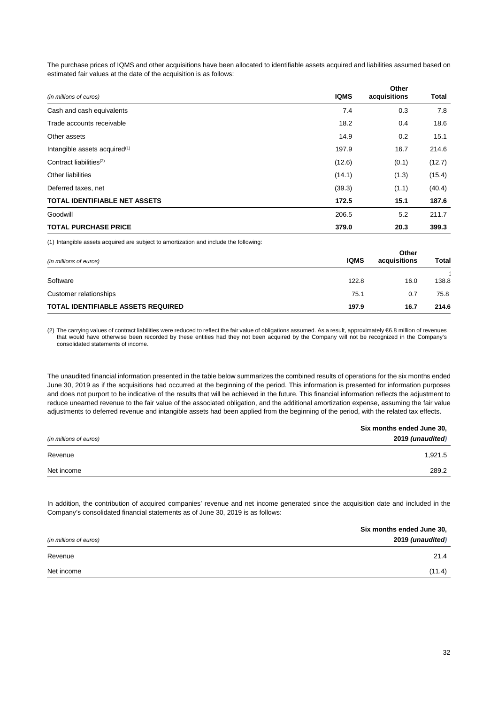The purchase prices of IQMS and other acquisitions have been allocated to identifiable assets acquired and liabilities assumed based on estimated fair values at the date of the acquisition is as follows:

| (in millions of euros)                    | <b>IQMS</b> | Other<br>acquisitions | Total  |
|-------------------------------------------|-------------|-----------------------|--------|
| Cash and cash equivalents                 | 7.4         | 0.3                   | 7.8    |
| Trade accounts receivable                 | 18.2        | 0.4                   | 18.6   |
| Other assets                              | 14.9        | 0.2                   | 15.1   |
| Intangible assets acquired <sup>(1)</sup> | 197.9       | 16.7                  | 214.6  |
| Contract liabilities <sup>(2)</sup>       | (12.6)      | (0.1)                 | (12.7) |
| Other liabilities                         | (14.1)      | (1.3)                 | (15.4) |
| Deferred taxes, net                       | (39.3)      | (1.1)                 | (40.4) |
| <b>TOTAL IDENTIFIABLE NET ASSETS</b>      | 172.5       | 15.1                  | 187.6  |
| Goodwill                                  | 206.5       | 5.2                   | 211.7  |
| <b>TOTAL PURCHASE PRICE</b>               | 379.0       | 20.3                  | 399.3  |

(1) Intangible assets acquired are subject to amortization and include the following:

| (in millions of euros)                    | <b>IQMS</b> | Other<br>acquisitions | Total |
|-------------------------------------------|-------------|-----------------------|-------|
| Software                                  | 122.8       | 16.0                  | 138.8 |
| Customer relationships                    | 75.1        | 0.7                   | 75.8  |
| <b>TOTAL IDENTIFIABLE ASSETS REQUIRED</b> | 197.9       | 16.7                  | 214.6 |

(2) The carrying values of contract liabilities were reduced to reflect the fair value of obligations assumed. As a result, approximately €6.8 million of revenues that would have otherwise been recorded by these entities had they not been acquired by the Company will not be recognized in the Company's consolidated statements of income.

The unaudited financial information presented in the table below summarizes the combined results of operations for the six months ended June 30, 2019 as if the acquisitions had occurred at the beginning of the period. This information is presented for information purposes and does not purport to be indicative of the results that will be achieved in the future. This financial information reflects the adjustment to reduce unearned revenue to the fair value of the associated obligation, and the additional amortization expense, assuming the fair value adjustments to deferred revenue and intangible assets had been applied from the beginning of the period, with the related tax effects.

| (in millions of euros) | Six months ended June 30,<br>2019 (unaudited) |
|------------------------|-----------------------------------------------|
| Revenue                | 1,921.5                                       |
| Net income             | 289.2                                         |

In addition, the contribution of acquired companies' revenue and net income generated since the acquisition date and included in the Company's consolidated financial statements as of June 30, 2019 is as follows:

| (in millions of euros) | Six months ended June 30,<br>2019 (unaudited) |
|------------------------|-----------------------------------------------|
| Revenue                | 21.4                                          |
| Net income             | (11.4)                                        |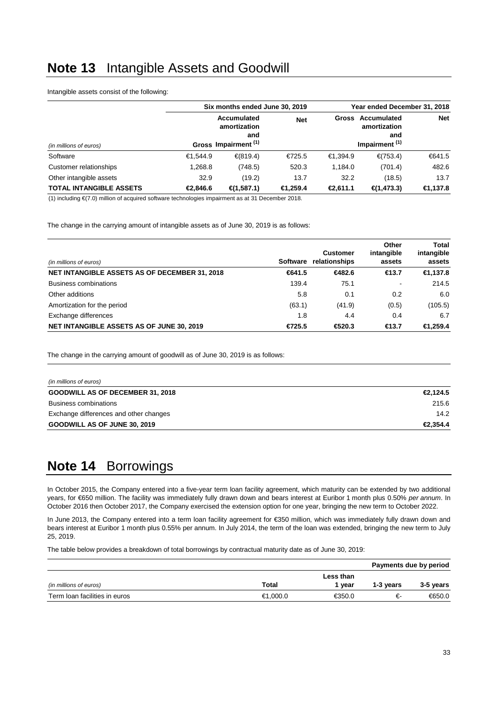### <span id="page-33-0"></span>**Note 13** Intangible Assets and Goodwill

Intangible assets consist of the following:

|                                | Six months ended June 30, 2019 |                                    |                      |          | Year ended December 31, 2018       |            |
|--------------------------------|--------------------------------|------------------------------------|----------------------|----------|------------------------------------|------------|
|                                |                                | Accumulated<br>amortization<br>and | <b>Net</b>           | Gross    | Accumulated<br>amortization<br>and | <b>Net</b> |
| (in millions of euros)         |                                | Gross Impairment <sup>(1)</sup>    |                      |          | Impairment <sup>(1)</sup>          |            |
| Software                       | €1,544.9                       | €(819.4)                           | €725.5               | €1.394.9 | € $(753.4)$                        | €641.5     |
| Customer relationships         | 1.268.8                        | (748.5)                            | 520.3                | 1.184.0  | (701.4)                            | 482.6      |
| Other intangible assets        | 32.9                           | (19.2)                             | 13.7                 | 32.2     | (18.5)                             | 13.7       |
| <b>TOTAL INTANGIBLE ASSETS</b> | €2,846.6                       | <del><math>€(1,587.1)</math></del> | <del>€</del> 1,259.4 | €2,611.1 | <del><math>€1,473.3)</math></del>  | €1,137.8   |

(1) including €(7.0) million of acquired software technologies impairment as at 31 December 2018.

The change in the carrying amount of intangible assets as of June 30, 2019 is as follows:

| (in millions of euros)                               | <b>Software</b>  | <b>Customer</b><br>relationships | Other<br>intangible<br>assets | Total<br>intangible<br>assets |
|------------------------------------------------------|------------------|----------------------------------|-------------------------------|-------------------------------|
| <b>NET INTANGIBLE ASSETS AS OF DECEMBER 31, 2018</b> | €641.5           | €482.6                           | €13.7                         | €1,137.8                      |
| <b>Business combinations</b>                         | 139.4            | 75.1                             |                               | 214.5                         |
| Other additions                                      | 5.8              | 0.1                              | 0.2                           | 6.0                           |
| Amortization for the period                          | (63.1)           | (41.9)                           | (0.5)                         | (105.5)                       |
| Exchange differences                                 | 1.8              | 4.4                              | 0.4                           | 6.7                           |
| NET INTANGIBLE ASSETS AS OF JUNE 30, 2019            | $\epsilon$ 725.5 | €20.3                            | €13.7                         | €1.259.4                      |

The change in the carrying amount of goodwill as of June 30, 2019 is as follows:

| (in millions of euros)                  |          |
|-----------------------------------------|----------|
| <b>GOODWILL AS OF DECEMBER 31, 2018</b> | €2.124.5 |
| Business combinations                   | 215.6    |
| Exchange differences and other changes  | 14.2     |
| GOODWILL AS OF JUNE 30, 2019            | €2.354.4 |

### <span id="page-33-1"></span>**Note 14** Borrowings

In October 2015, the Company entered into a five-year term loan facility agreement, which maturity can be extended by two additional years, for €650 million. The facility was immediately fully drawn down and bears interest at Euribor 1 month plus 0.50% *per annum*. In October 2016 then October 2017, the Company exercised the extension option for one year, bringing the new term to October 2022.

In June 2013, the Company entered into a term loan facility agreement for €350 million, which was immediately fully drawn down and bears interest at Euribor 1 month plus 0.55% per annum. In July 2014, the term of the loan was extended, bringing the new term to July 25, 2019.

The table below provides a breakdown of total borrowings by contractual maturity date as of June 30, 2019:

|                               |          |           |           | Payments due by period |
|-------------------------------|----------|-----------|-----------|------------------------|
|                               |          | Less than |           |                        |
| (in millions of euros)        | Total    | vear      | 1-3 years | 3-5 years              |
| Term loan facilities in euros | €1.000.0 | €350.0    | €         | €650.0                 |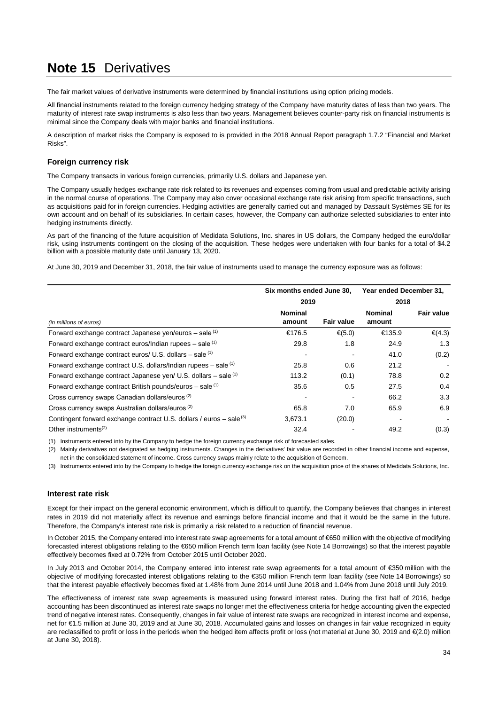### <span id="page-34-0"></span>**Note 15** Derivatives

The fair market values of derivative instruments were determined by financial institutions using option pricing models.

All financial instruments related to the foreign currency hedging strategy of the Company have maturity dates of less than two years. The maturity of interest rate swap instruments is also less than two years. Management believes counter-party risk on financial instruments is minimal since the Company deals with major banks and financial institutions.

A description of market risks the Company is exposed to is provided in the 2018 Annual Report paragraph 1.7.2 "Financial and Market Risks".

#### **Foreign currency risk**

The Company transacts in various foreign currencies, primarily U.S. dollars and Japanese yen.

The Company usually hedges exchange rate risk related to its revenues and expenses coming from usual and predictable activity arising in the normal course of operations. The Company may also cover occasional exchange rate risk arising from specific transactions, such as acquisitions paid for in foreign currencies. Hedging activities are generally carried out and managed by Dassault Systèmes SE for its own account and on behalf of its subsidiaries. In certain cases, however, the Company can authorize selected subsidiaries to enter into hedging instruments directly.

As part of the financing of the future acquisition of Medidata Solutions, Inc. shares in US dollars, the Company hedged the euro/dollar risk, using instruments contingent on the closing of the acquisition. These hedges were undertaken with four banks for a total of \$4.2 billion with a possible maturity date until January 13, 2020.

At June 30, 2019 and December 31, 2018, the fair value of instruments used to manage the currency exposure was as follows:

|                                                                                 | Six months ended June 30,<br>2019 |            | Year ended December 31,<br>2018 |                  |
|---------------------------------------------------------------------------------|-----------------------------------|------------|---------------------------------|------------------|
|                                                                                 |                                   |            |                                 |                  |
| (in millions of euros)                                                          | <b>Nominal</b><br>amount          | Fair value | <b>Nominal</b><br>amount        | Fair value       |
| Forward exchange contract Japanese yen/euros – sale $(1)$                       | €176.5                            | € $(5.0)$  | €135.9                          | $\epsilon$ (4.3) |
| Forward exchange contract euros/Indian rupees $-$ sale $(1)$                    | 29.8                              | 1.8        | 24.9                            | 1.3              |
| Forward exchange contract euros/ U.S. dollars – sale $(1)$                      |                                   |            | 41.0                            | (0.2)            |
| Forward exchange contract U.S. dollars/Indian rupees – sale $(1)$               | 25.8                              | 0.6        | 21.2                            |                  |
| Forward exchange contract Japanese yen/ U.S. dollars – sale $(1)$               | 113.2                             | (0.1)      | 78.8                            | 0.2              |
| Forward exchange contract British pounds/euros – sale $(1)$                     | 35.6                              | 0.5        | 27.5                            | 0.4              |
| Cross currency swaps Canadian dollars/euros <sup>(2)</sup>                      |                                   |            | 66.2                            | 3.3              |
| Cross currency swaps Australian dollars/euros <sup>(2)</sup>                    | 65.8                              | 7.0        | 65.9                            | 6.9              |
| Contingent forward exchange contract U.S. dollars / euros - sale <sup>(3)</sup> | 3,673.1                           | (20.0)     |                                 |                  |
| Other instruments $(2)$                                                         | 32.4                              |            | 49.2                            | (0.3)            |

(1) Instruments entered into by the Company to hedge the foreign currency exchange risk of forecasted sales.

(2) Mainly derivatives not designated as hedging instruments. Changes in the derivatives' fair value are recorded in other financial income and expense net in the consolidated statement of income. Cross currency swaps mainly relate to the acquisition of Gemcom.

(3) Instruments entered into by the Company to hedge the foreign currency exchange risk on the acquisition price of the shares of Medidata Solutions, Inc.

#### **Interest rate risk**

Except for their impact on the general economic environment, which is difficult to quantify, the Company believes that changes in interest rates in 2019 did not materially affect its revenue and earnings before financial income and that it would be the same in the future. Therefore, the Company's interest rate risk is primarily a risk related to a reduction of financial revenue.

In October 2015, the Company entered into interest rate swap agreements for a total amount of €650 million with the objective of modifying forecasted interest obligations relating to the €650 million French term loan facility (see Note 14 Borrowings) so that the interest payable effectively becomes fixed at 0.72% from October 2015 until October 2020.

In July 2013 and October 2014, the Company entered into interest rate swap agreements for a total amount of €350 million with the objective of modifying forecasted interest obligations relating to the €350 million French term loan facility (see Note 14 Borrowings) so that the interest payable effectively becomes fixed at 1.48% from June 2014 until June 2018 and 1.04% from June 2018 until July 2019.

The effectiveness of interest rate swap agreements is measured using forward interest rates. During the first half of 2016, hedge accounting has been discontinued as interest rate swaps no longer met the effectiveness criteria for hedge accounting given the expected trend of negative interest rates. Consequently, changes in fair value of interest rate swaps are recognized in interest income and expense, net for €1.5 million at June 30, 2019 and at June 30, 2018. Accumulated gains and losses on changes in fair value recognized in equity are reclassified to profit or loss in the periods when the hedged item affects profit or loss (not material at June 30, 2019 and  $\in (2.0)$  million at June 30, 2018).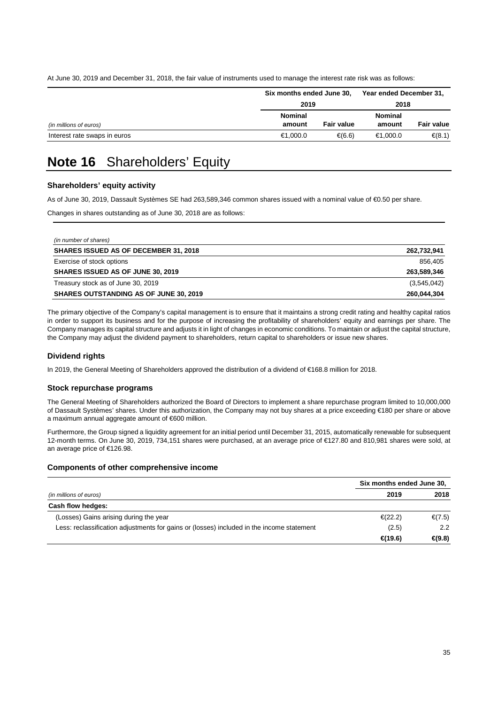At June 30, 2019 and December 31, 2018, the fair value of instruments used to manage the interest rate risk was as follows:

|                              | Six months ended June 30,<br>2019 |                   | Year ended December 31,<br>2018 |                   |
|------------------------------|-----------------------------------|-------------------|---------------------------------|-------------------|
|                              |                                   |                   |                                 |                   |
|                              | <b>Nominal</b>                    |                   | Nominal                         |                   |
| (in millions of euros)       | amount                            | <b>Fair value</b> | amount                          | <b>Fair value</b> |
| Interest rate swaps in euros | €1.000.0                          | € $(6.6)$         | €1.000.0                        | € $(8.1)$         |

### <span id="page-35-0"></span>**Note 16** Shareholders' Equity

#### **Shareholders' equity activity**

As of June 30, 2019, Dassault Systèmes SE had 263,589,346 common shares issued with a nominal value of €0.50 per share.

Changes in shares outstanding as of June 30, 2018 are as follows:

| (in number of shares)                         |             |
|-----------------------------------------------|-------------|
| <b>SHARES ISSUED AS OF DECEMBER 31, 2018</b>  | 262,732,941 |
| Exercise of stock options                     | 856.405     |
| <b>SHARES ISSUED AS OF JUNE 30, 2019</b>      | 263,589,346 |
| Treasury stock as of June 30, 2019            | (3,545,042) |
| <b>SHARES OUTSTANDING AS OF JUNE 30, 2019</b> | 260,044,304 |

The primary objective of the Company's capital management is to ensure that it maintains a strong credit rating and healthy capital ratios in order to support its business and for the purpose of increasing the profitability of shareholders' equity and earnings per share. The Company manages its capital structure and adjusts it in light of changes in economic conditions. To maintain or adjust the capital structure, the Company may adjust the dividend payment to shareholders, return capital to shareholders or issue new shares.

#### **Dividend rights**

In 2019, the General Meeting of Shareholders approved the distribution of a dividend of €168.8 million for 2018.

#### **Stock repurchase programs**

The General Meeting of Shareholders authorized the Board of Directors to implement a share repurchase program limited to 10,000,000 of Dassault Systèmes' shares. Under this authorization, the Company may not buy shares at a price exceeding €180 per share or above a maximum annual aggregate amount of €600 million.

Furthermore, the Group signed a liquidity agreement for an initial period until December 31, 2015, automatically renewable for subsequent 12-month terms. On June 30, 2019, 734,151 shares were purchased, at an average price of €127.80 and 810,981 shares were sold, at an average price of €126.98.

#### **Components of other comprehensive income**

|                                                                                           | Six months ended June 30,       |                            |
|-------------------------------------------------------------------------------------------|---------------------------------|----------------------------|
| (in millions of euros)                                                                    | 2019                            | 2018                       |
| Cash flow hedges:                                                                         |                                 |                            |
| (Losses) Gains arising during the year                                                    | € $(22.2)$                      | € $(7.5)$                  |
| Less: reclassification adjustments for gains or (losses) included in the income statement | (2.5)                           | 2.2                        |
|                                                                                           | <del><math>€(19.6)</math></del> | $\blacktriangleleft$ (9.8) |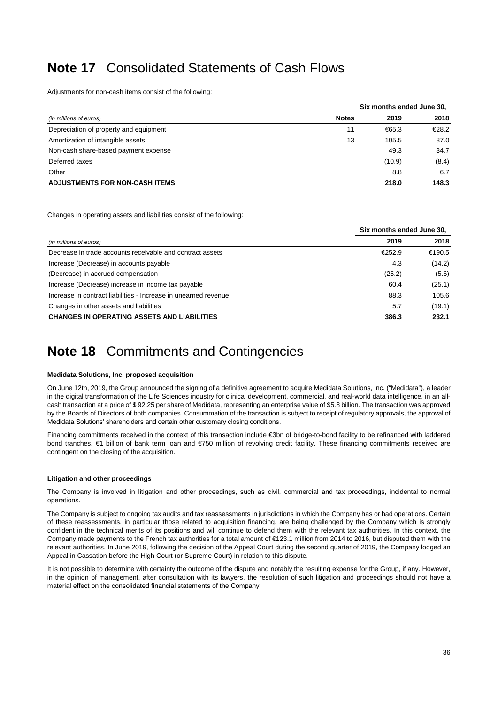### <span id="page-36-0"></span>**Note 17** Consolidated Statements of Cash Flows

Adjustments for non-cash items consist of the following:

|                                        |              |        | Six months ended June 30, |  |
|----------------------------------------|--------------|--------|---------------------------|--|
| (in millions of euros)                 | <b>Notes</b> | 2019   | 2018                      |  |
| Depreciation of property and equipment | 11           | €65.3  | € $28.2$                  |  |
| Amortization of intangible assets      | 13           | 105.5  | 87.0                      |  |
| Non-cash share-based payment expense   |              | 49.3   | 34.7                      |  |
| Deferred taxes                         |              | (10.9) | (8.4)                     |  |
| Other                                  |              | 8.8    | 6.7                       |  |
| <b>ADJUSTMENTS FOR NON-CASH ITEMS</b>  |              | 218.0  | 148.3                     |  |

Changes in operating assets and liabilities consist of the following:

|                                                                 | Six months ended June 30, |        |
|-----------------------------------------------------------------|---------------------------|--------|
| (in millions of euros)                                          | 2019                      | 2018   |
| Decrease in trade accounts receivable and contract assets       | €252.9                    | €190.5 |
| Increase (Decrease) in accounts payable                         | 4.3                       | (14.2) |
| (Decrease) in accrued compensation                              | (25.2)                    | (5.6)  |
| Increase (Decrease) increase in income tax payable              | 60.4                      | (25.1) |
| Increase in contract liabilities - Increase in unearned revenue | 88.3                      | 105.6  |
| Changes in other assets and liabilities                         | 5.7                       | (19.1) |
| <b>CHANGES IN OPERATING ASSETS AND LIABILITIES</b>              | 386.3                     | 232.1  |

### <span id="page-36-1"></span>**Note 18** Commitments and Contingencies

#### **Medidata Solutions, Inc. proposed acquisition**

On June 12th, 2019, the Group announced the signing of a definitive agreement to acquire Medidata Solutions, Inc. ("Medidata"), a leader in the digital transformation of the Life Sciences industry for clinical development, commercial, and real-world data intelligence, in an allcash transaction at a price of \$ 92.25 per share of Medidata, representing an enterprise value of \$5.8 billion. The transaction was approved by the Boards of Directors of both companies. Consummation of the transaction is subject to receipt of regulatory approvals, the approval of Medidata Solutions' shareholders and certain other customary closing conditions.

Financing commitments received in the context of this transaction include €3bn of bridge-to-bond facility to be refinanced with laddered bond tranches, €1 billion of bank term loan and €750 million of revolving credit facility. These financing commitments received are contingent on the closing of the acquisition.

#### **Litigation and other proceedings**

The Company is involved in litigation and other proceedings, such as civil, commercial and tax proceedings, incidental to normal operations.

The Company is subject to ongoing tax audits and tax reassessments in jurisdictions in which the Company has or had operations. Certain of these reassessments, in particular those related to acquisition financing, are being challenged by the Company which is strongly confident in the technical merits of its positions and will continue to defend them with the relevant tax authorities. In this context, the Company made payments to the French tax authorities for a total amount of €123.1 million from 2014 to 2016, but disputed them with the relevant authorities. In June 2019, following the decision of the Appeal Court during the second quarter of 2019, the Company lodged an Appeal in Cassation before the High Court (or Supreme Court) in relation to this dispute.

It is not possible to determine with certainty the outcome of the dispute and notably the resulting expense for the Group, if any. However, in the opinion of management, after consultation with its lawyers, the resolution of such litigation and proceedings should not have a material effect on the consolidated financial statements of the Company.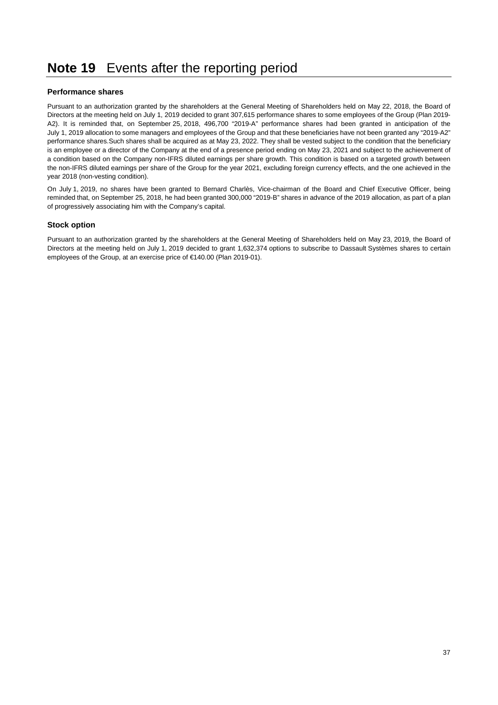### <span id="page-37-0"></span>**Note 19** Events after the reporting period

#### **Performance shares**

Pursuant to an authorization granted by the shareholders at the General Meeting of Shareholders held on May 22, 2018, the Board of Directors at the meeting held on July 1, 2019 decided to grant 307,615 performance shares to some employees of the Group (Plan 2019- A2). It is reminded that, on September 25, 2018, 496,700 "2019-A" performance shares had been granted in anticipation of the July 1, 2019 allocation to some managers and employees of the Group and that these beneficiaries have not been granted any "2019-A2" performance shares.Such shares shall be acquired as at May 23, 2022. They shall be vested subject to the condition that the beneficiary is an employee or a director of the Company at the end of a presence period ending on May 23, 2021 and subject to the achievement of a condition based on the Company non-IFRS diluted earnings per share growth. This condition is based on a targeted growth between the non-IFRS diluted earnings per share of the Group for the year 2021, excluding foreign currency effects, and the one achieved in the year 2018 (non-vesting condition).

On July 1, 2019, no shares have been granted to Bernard Charlès, Vice-chairman of the Board and Chief Executive Officer, being reminded that, on September 25, 2018, he had been granted 300,000 "2019-B" shares in advance of the 2019 allocation, as part of a plan of progressively associating him with the Company's capital.

#### **Stock option**

Pursuant to an authorization granted by the shareholders at the General Meeting of Shareholders held on May 23, 2019, the Board of Directors at the meeting held on July 1, 2019 decided to grant 1,632,374 options to subscribe to Dassault Systèmes shares to certain employees of the Group, at an exercise price of €140.00 (Plan 2019-01).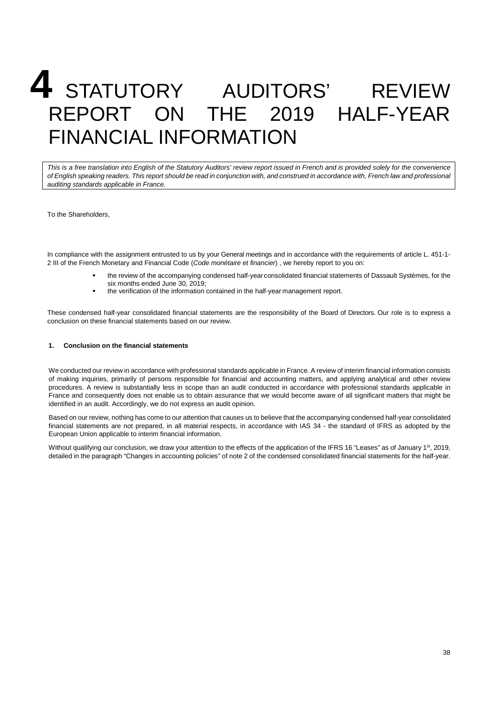## <span id="page-38-0"></span>**4** STATUTORY AUDITORS' REVIEW REPORT ON THE 2019 HALF-YEAR FINANCIAL INFORMATION

*This is a free translation into English of the Statutory Auditors' review report issued in French and is provided solely for the convenience of English speaking readers. This report should be read in conjunction with, and construed in accordance with, French law and professional auditing standards applicable in France.*

To the Shareholders,

In compliance with the assignment entrusted to us by your General meetings and in accordance with the requirements of article L. 451-1- 2 III of the French Monetary and Financial Code (*Code monétaire et financier*) , we hereby report to you on:

- the review of the accompanying condensed half-year consolidated financial statements of Dassault Systèmes, for the six months ended June 30, 2019;
- the verification of the information contained in the half-year management report.

These condensed half-year consolidated financial statements are the responsibility of the Board of Directors. Our role is to express a conclusion on these financial statements based on our review.

#### **1. Conclusion on the financial statements**

We conducted our review in accordance with professional standards applicable in France. A review of interim financial information consists of making inquiries, primarily of persons responsible for financial and accounting matters, and applying analytical and other review procedures. A review is substantially less in scope than an audit conducted in accordance with professional standards applicable in France and consequently does not enable us to obtain assurance that we would become aware of all significant matters that might be identified in an audit. Accordingly, we do not express an audit opinion.

Based on our review, nothing has come to our attention that causes us to believe that the accompanying condensed half-year consolidated financial statements are not prepared, in all material respects, in accordance with IAS 34 - the standard of IFRS as adopted by the European Union applicable to interim financial information.

Without qualifying our conclusion, we draw your attention to the effects of the application of the IFRS 16 "Leases" as of January 1<sup>st</sup>, 2019, detailed in the paragraph "Changes in accounting policies" of note 2 of the condensed consolidated financial statements for the half-year.